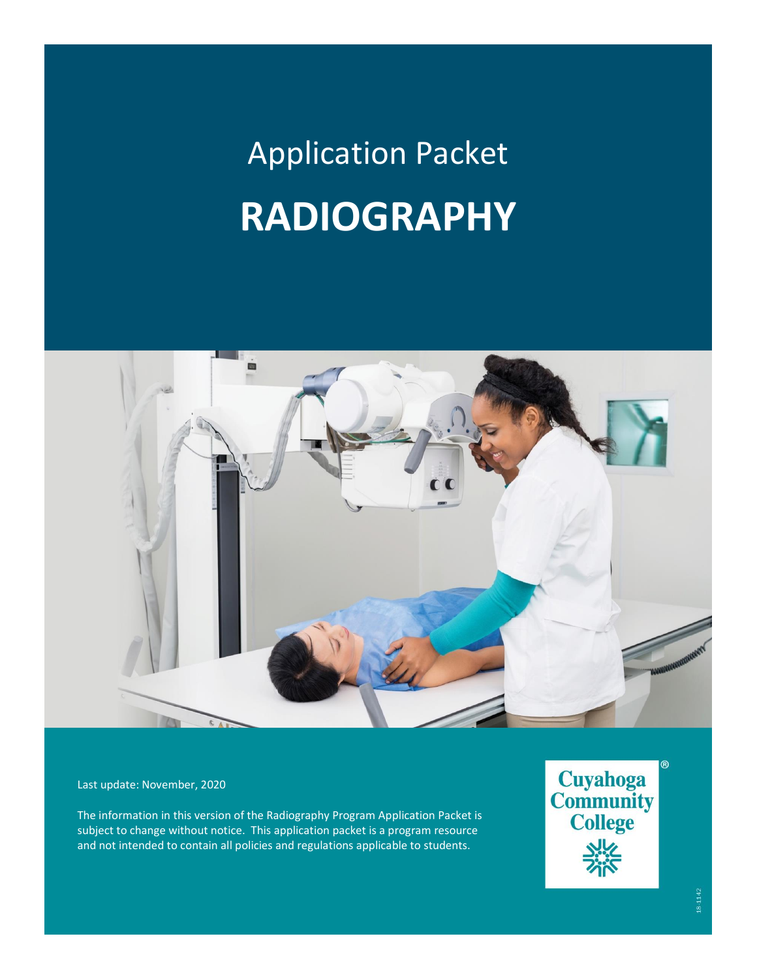# Application Packet **RADIOGRAPHY**



Last update: November, 2020

The information in this version of the Radiography Program Application Packet is subject to change without notice. This application packet is a program resource and not intended to contain all policies and regulations applicable to students.

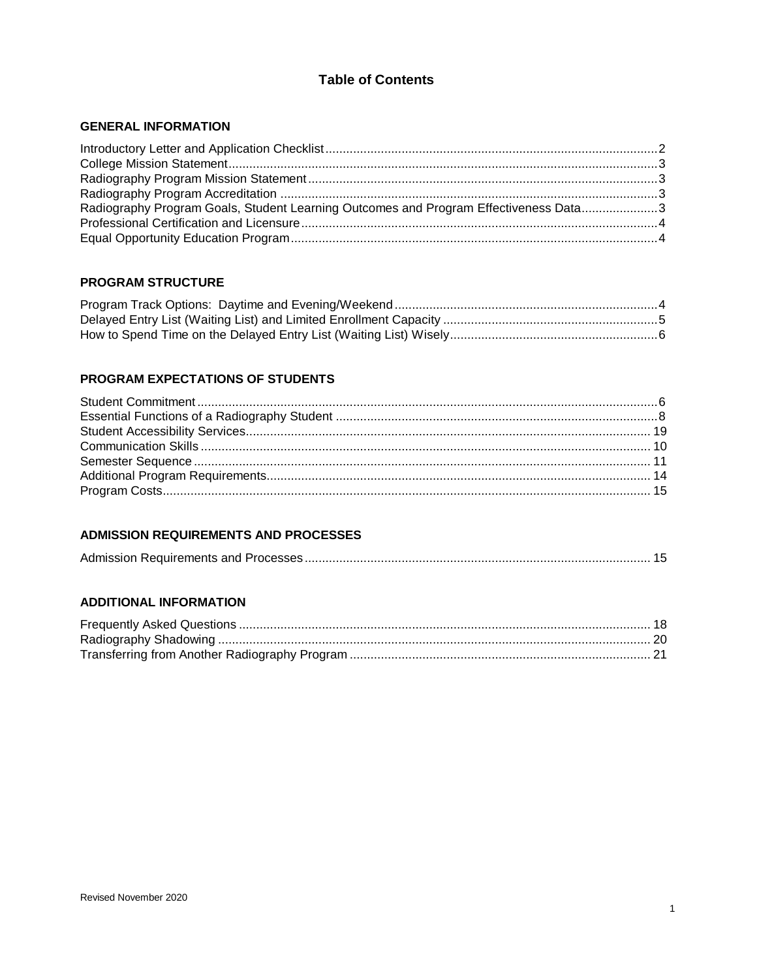## **Table of Contents**

## **GENERAL INFORMATION**

| Radiography Program Goals, Student Learning Outcomes and Program Effectiveness Data3 |  |
|--------------------------------------------------------------------------------------|--|
|                                                                                      |  |
|                                                                                      |  |

## **PROGRAM STRUCTURE**

#### PROGRAM EXPECTATIONS OF STUDENTS

## **ADMISSION REQUIREMENTS AND PROCESSES**

|--|--|

## **ADDITIONAL INFORMATION**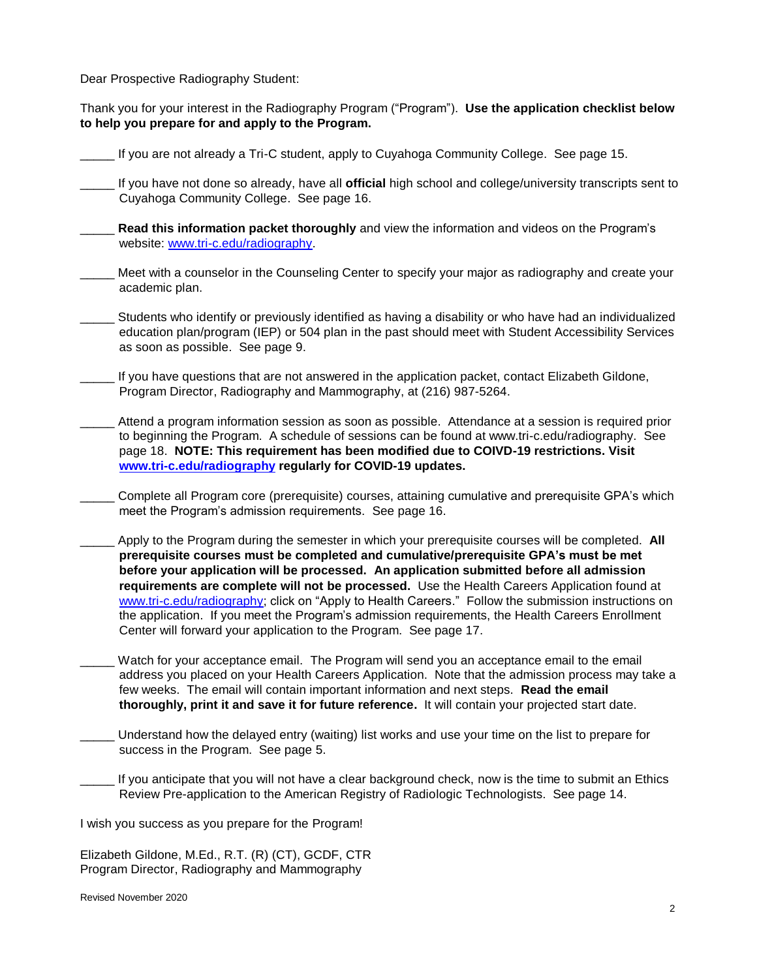Dear Prospective Radiography Student:

Thank you for your interest in the Radiography Program ("Program"). **Use the application checklist below to help you prepare for and apply to the Program.** 

- If you are not already a Tri-C student, apply to Cuyahoga Community College. See page 15.
- \_\_\_\_\_ If you have not done so already, have all **official** high school and college/university transcripts sent to Cuyahoga Community College. See page 16.
- \_\_\_\_\_ **Read this information packet thoroughly** and view the information and videos on the Program's website: [www.tri-c.edu/radiography.](http://www.tri-c.edu/radiography)
- Meet with a counselor in the Counseling Center to specify your major as radiography and create your academic plan.
- \_\_\_\_\_ Students who identify or previously identified as having a disability or who have had an individualized education plan/program (IEP) or 504 plan in the past should meet with Student Accessibility Services as soon as possible. See page 9.
- If you have questions that are not answered in the application packet, contact Elizabeth Gildone, Program Director, Radiography and Mammography, at (216) 987-5264.
- Attend a program information session as soon as possible. Attendance at a session is required prior to beginning the Program. A schedule of sessions can be found at www.tri-c.edu/radiography. See page 18. **NOTE: This requirement has been modified due to COIVD-19 restrictions. Visit [www.tri-c.edu/radiography](http://www.tri-c.edu/radiography) regularly for COVID-19 updates.**
- Complete all Program core (prerequisite) courses, attaining cumulative and prerequisite GPA's which meet the Program's admission requirements. See page 16.
- Apply to the Program during the semester in which your prerequisite courses will be completed. **All prerequisite courses must be completed and cumulative/prerequisite GPA's must be met before your application will be processed. An application submitted before all admission requirements are complete will not be processed.** Use the Health Careers Application found at [www.tri-c.edu/radiography;](http://www.tri-c.edu/radiography) click on "Apply to Health Careers." Follow the submission instructions on the application. If you meet the Program's admission requirements, the Health Careers Enrollment Center will forward your application to the Program. See page 17.
- Watch for your acceptance email. The Program will send you an acceptance email to the email address you placed on your Health Careers Application. Note that the admission process may take a few weeks. The email will contain important information and next steps. **Read the email thoroughly, print it and save it for future reference.** It will contain your projected start date.
- Understand how the delayed entry (waiting) list works and use your time on the list to prepare for success in the Program. See page 5.
- If you anticipate that you will not have a clear background check, now is the time to submit an Ethics Review Pre-application to the American Registry of Radiologic Technologists. See page 14.

I wish you success as you prepare for the Program!

Elizabeth Gildone, M.Ed., R.T. (R) (CT), GCDF, CTR Program Director, Radiography and Mammography

Revised November 2020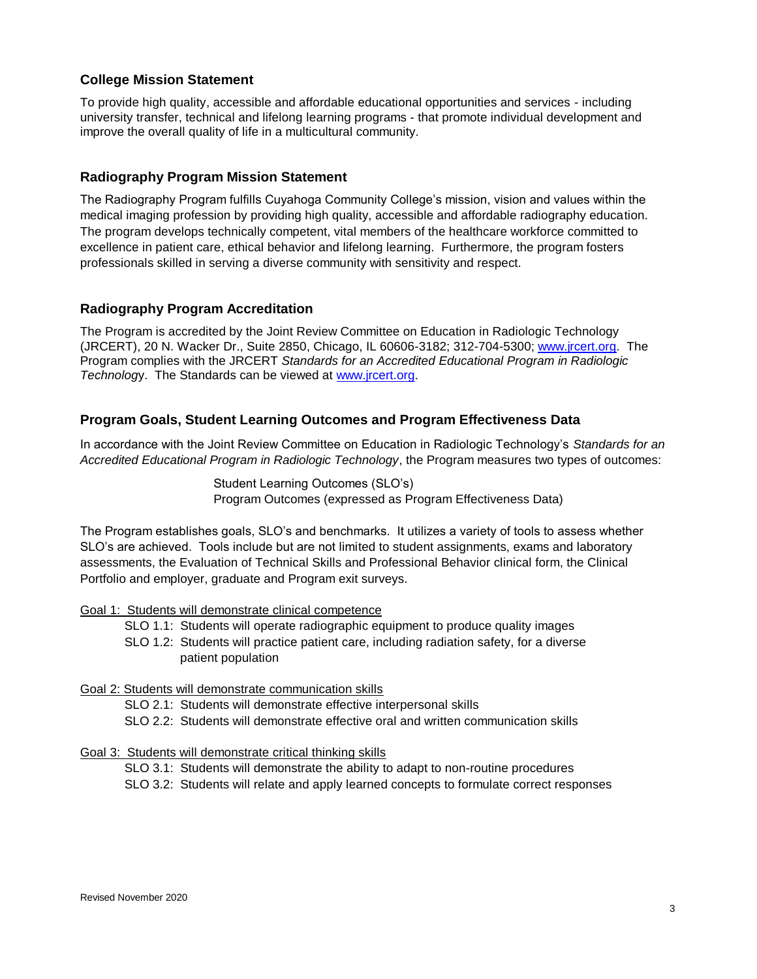## **College Mission Statement**

To provide high quality, accessible and affordable educational opportunities and services - including university transfer, technical and lifelong learning programs - that promote individual development and improve the overall quality of life in a multicultural community.

## **Radiography Program Mission Statement**

The Radiography Program fulfills Cuyahoga Community College's mission, vision and values within the medical imaging profession by providing high quality, accessible and affordable radiography education. The program develops technically competent, vital members of the healthcare workforce committed to excellence in patient care, ethical behavior and lifelong learning. Furthermore, the program fosters professionals skilled in serving a diverse community with sensitivity and respect.

## **Radiography Program Accreditation**

The Program is accredited by the Joint Review Committee on Education in Radiologic Technology (JRCERT), 20 N. Wacker Dr., Suite 2850, Chicago, IL 60606-3182; 312-704-5300; [www.jrcert.org.](http://www.jrcert.org/) The Program complies with the JRCERT *Standards for an Accredited Educational Program in Radiologic Technolog*y. The Standards can be viewed at [www.jrcert.org.](http://www.jrcert.org/)

## **Program Goals, Student Learning Outcomes and Program Effectiveness Data**

In accordance with the Joint Review Committee on Education in Radiologic Technology's *Standards for an Accredited Educational Program in Radiologic Technology*, the Program measures two types of outcomes:

> Student Learning Outcomes (SLO's) Program Outcomes (expressed as Program Effectiveness Data)

The Program establishes goals, SLO's and benchmarks. It utilizes a variety of tools to assess whether SLO's are achieved. Tools include but are not limited to student assignments, exams and laboratory assessments, the Evaluation of Technical Skills and Professional Behavior clinical form, the Clinical Portfolio and employer, graduate and Program exit surveys.

#### Goal 1: Students will demonstrate clinical competence

- SLO 1.1: Students will operate radiographic equipment to produce quality images
- SLO 1.2: Students will practice patient care, including radiation safety, for a diverse patient population

## Goal 2: Students will demonstrate communication skills

SLO 2.1: Students will demonstrate effective interpersonal skills

SLO 2.2: Students will demonstrate effective oral and written communication skills

#### Goal 3: Students will demonstrate critical thinking skills

- SLO 3.1: Students will demonstrate the ability to adapt to non-routine procedures
- SLO 3.2: Students will relate and apply learned concepts to formulate correct responses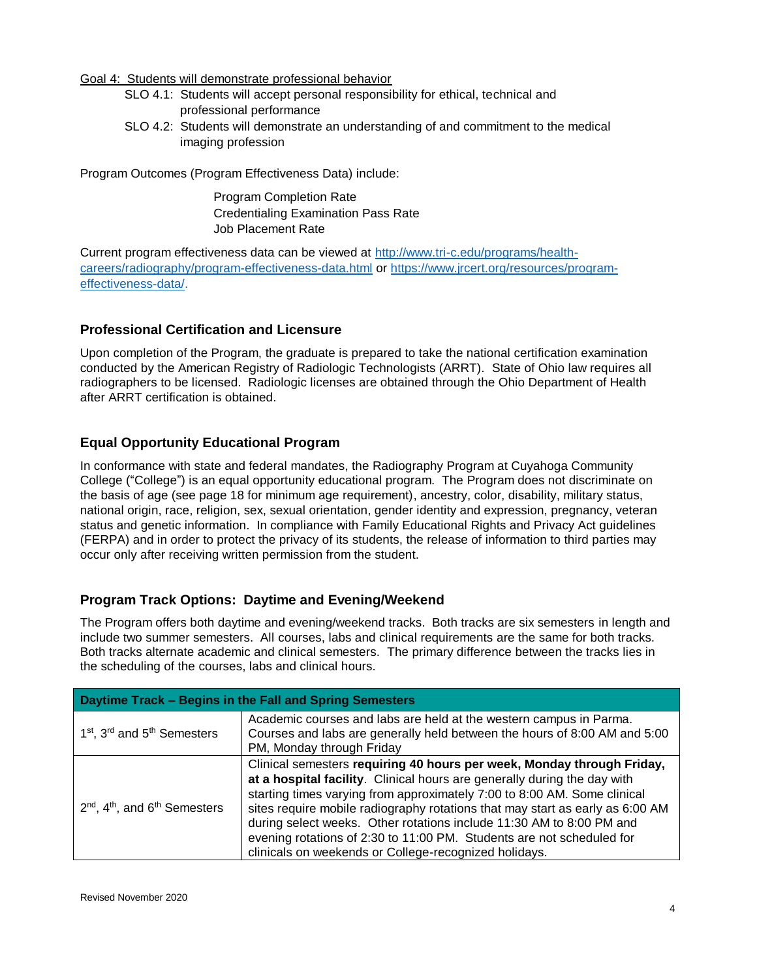#### Goal 4: Students will demonstrate professional behavior

- SLO 4.1: Students will accept personal responsibility for ethical, technical and professional performance
- SLO 4.2: Students will demonstrate an understanding of and commitment to the medical imaging profession

Program Outcomes (Program Effectiveness Data) include:

Program Completion Rate Credentialing Examination Pass Rate Job Placement Rate

Current program effectiveness data can be viewed at [http://www.tri-c.edu/programs/health](http://www.tri-c.edu/programs/health-careers/radiography/program-effectiveness-data.html)[careers/radiography/program-effectiveness-data.html](http://www.tri-c.edu/programs/health-careers/radiography/program-effectiveness-data.html) or [https://www.jrcert.org/resources/program](https://www.jrcert.org/resources/program-effectiveness-data/)[effectiveness-data/.](https://www.jrcert.org/resources/program-effectiveness-data/)

## **Professional Certification and Licensure**

Upon completion of the Program, the graduate is prepared to take the national certification examination conducted by the American Registry of Radiologic Technologists (ARRT). State of Ohio law requires all radiographers to be licensed. Radiologic licenses are obtained through the Ohio Department of Health after ARRT certification is obtained.

## **Equal Opportunity Educational Program**

In conformance with state and federal mandates, the Radiography Program at Cuyahoga Community College ("College") is an equal opportunity educational program. The Program does not discriminate on the basis of age (see page 18 for minimum age requirement), ancestry, color, disability, military status, national origin, race, religion, sex, sexual orientation, gender identity and expression, pregnancy, veteran status and genetic information. In compliance with Family Educational Rights and Privacy Act guidelines (FERPA) and in order to protect the privacy of its students, the release of information to third parties may occur only after receiving written permission from the student.

## **Program Track Options: Daytime and Evening/Weekend**

The Program offers both daytime and evening/weekend tracks. Both tracks are six semesters in length and include two summer semesters. All courses, labs and clinical requirements are the same for both tracks. Both tracks alternate academic and clinical semesters. The primary difference between the tracks lies in the scheduling of the courses, labs and clinical hours.

| Daytime Track - Begins in the Fall and Spring Semesters         |                                                                                                                                                                                                                                                                                                                                                                                                                                                                                                                           |  |  |
|-----------------------------------------------------------------|---------------------------------------------------------------------------------------------------------------------------------------------------------------------------------------------------------------------------------------------------------------------------------------------------------------------------------------------------------------------------------------------------------------------------------------------------------------------------------------------------------------------------|--|--|
| 1 <sup>st</sup> , 3 <sup>rd</sup> and 5 <sup>th</sup> Semesters | Academic courses and labs are held at the western campus in Parma.<br>Courses and labs are generally held between the hours of 8:00 AM and 5:00<br>PM, Monday through Friday                                                                                                                                                                                                                                                                                                                                              |  |  |
| $2nd$ , 4 <sup>th</sup> , and 6 <sup>th</sup> Semesters         | Clinical semesters requiring 40 hours per week, Monday through Friday,<br>at a hospital facility. Clinical hours are generally during the day with<br>starting times varying from approximately 7:00 to 8:00 AM. Some clinical<br>sites require mobile radiography rotations that may start as early as 6:00 AM<br>during select weeks. Other rotations include 11:30 AM to 8:00 PM and<br>evening rotations of 2:30 to 11:00 PM. Students are not scheduled for<br>clinicals on weekends or College-recognized holidays. |  |  |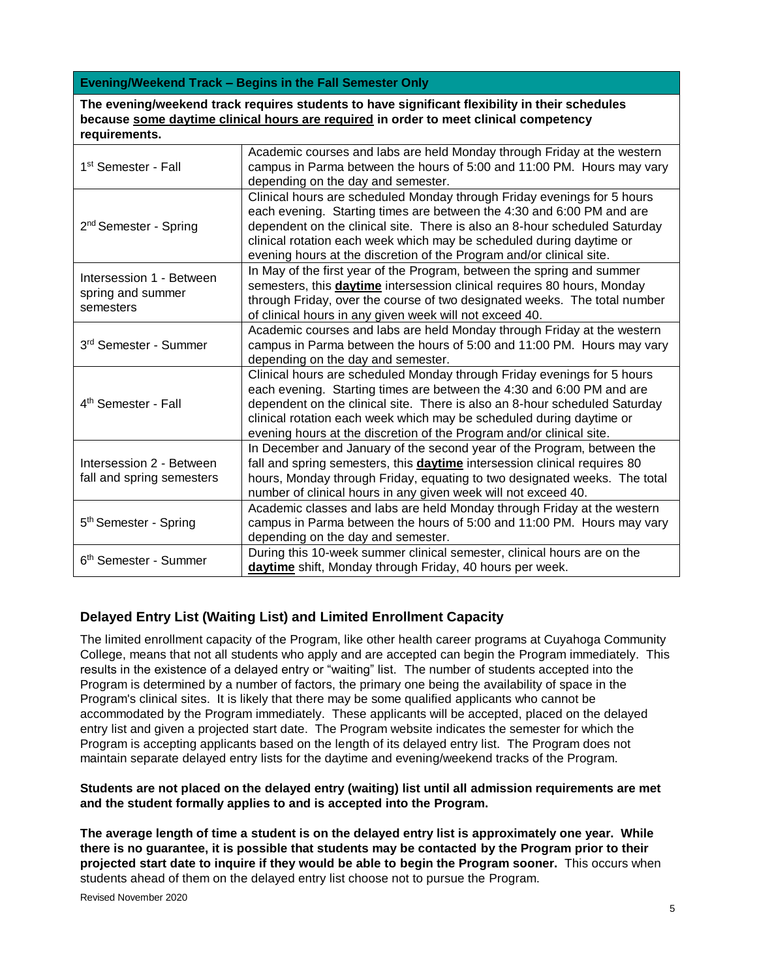#### **Evening/Weekend Track – Begins in the Fall Semester Only**

**The evening/weekend track requires students to have significant flexibility in their schedules because some daytime clinical hours are required in order to meet clinical competency requirements.**

| Academic courses and labs are held Monday through Friday at the western<br>campus in Parma between the hours of 5:00 and 11:00 PM. Hours may vary<br>1 <sup>st</sup> Semester - Fall<br>depending on the day and semester.<br>Clinical hours are scheduled Monday through Friday evenings for 5 hours<br>each evening. Starting times are between the 4:30 and 6:00 PM and are<br>2 <sup>nd</sup> Semester - Spring<br>dependent on the clinical site. There is also an 8-hour scheduled Saturday<br>clinical rotation each week which may be scheduled during daytime or<br>evening hours at the discretion of the Program and/or clinical site.<br>In May of the first year of the Program, between the spring and summer<br>Intersession 1 - Between<br>semesters, this <b>daytime</b> intersession clinical requires 80 hours, Monday<br>spring and summer<br>through Friday, over the course of two designated weeks. The total number<br>semesters<br>of clinical hours in any given week will not exceed 40.<br>Academic courses and labs are held Monday through Friday at the western<br>3rd Semester - Summer<br>campus in Parma between the hours of 5:00 and 11:00 PM. Hours may vary<br>depending on the day and semester.<br>Clinical hours are scheduled Monday through Friday evenings for 5 hours<br>each evening. Starting times are between the 4:30 and 6:00 PM and are<br>4 <sup>th</sup> Semester - Fall<br>dependent on the clinical site. There is also an 8-hour scheduled Saturday<br>clinical rotation each week which may be scheduled during daytime or<br>evening hours at the discretion of the Program and/or clinical site.<br>In December and January of the second year of the Program, between the<br>fall and spring semesters, this daytime intersession clinical requires 80<br>Intersession 2 - Between<br>fall and spring semesters<br>hours, Monday through Friday, equating to two designated weeks. The total<br>number of clinical hours in any given week will not exceed 40.<br>Academic classes and labs are held Monday through Friday at the western<br>5 <sup>th</sup> Semester - Spring<br>campus in Parma between the hours of 5:00 and 11:00 PM. Hours may vary<br>depending on the day and semester.<br>During this 10-week summer clinical semester, clinical hours are on the<br>6 <sup>th</sup> Semester - Summer |                                                          |
|-----------------------------------------------------------------------------------------------------------------------------------------------------------------------------------------------------------------------------------------------------------------------------------------------------------------------------------------------------------------------------------------------------------------------------------------------------------------------------------------------------------------------------------------------------------------------------------------------------------------------------------------------------------------------------------------------------------------------------------------------------------------------------------------------------------------------------------------------------------------------------------------------------------------------------------------------------------------------------------------------------------------------------------------------------------------------------------------------------------------------------------------------------------------------------------------------------------------------------------------------------------------------------------------------------------------------------------------------------------------------------------------------------------------------------------------------------------------------------------------------------------------------------------------------------------------------------------------------------------------------------------------------------------------------------------------------------------------------------------------------------------------------------------------------------------------------------------------------------------------------------------------------------------------------------------------------------------------------------------------------------------------------------------------------------------------------------------------------------------------------------------------------------------------------------------------------------------------------------------------------------------------------------------------------------------------------------------------------------------------------------|----------------------------------------------------------|
|                                                                                                                                                                                                                                                                                                                                                                                                                                                                                                                                                                                                                                                                                                                                                                                                                                                                                                                                                                                                                                                                                                                                                                                                                                                                                                                                                                                                                                                                                                                                                                                                                                                                                                                                                                                                                                                                                                                                                                                                                                                                                                                                                                                                                                                                                                                                                                             |                                                          |
|                                                                                                                                                                                                                                                                                                                                                                                                                                                                                                                                                                                                                                                                                                                                                                                                                                                                                                                                                                                                                                                                                                                                                                                                                                                                                                                                                                                                                                                                                                                                                                                                                                                                                                                                                                                                                                                                                                                                                                                                                                                                                                                                                                                                                                                                                                                                                                             |                                                          |
|                                                                                                                                                                                                                                                                                                                                                                                                                                                                                                                                                                                                                                                                                                                                                                                                                                                                                                                                                                                                                                                                                                                                                                                                                                                                                                                                                                                                                                                                                                                                                                                                                                                                                                                                                                                                                                                                                                                                                                                                                                                                                                                                                                                                                                                                                                                                                                             |                                                          |
|                                                                                                                                                                                                                                                                                                                                                                                                                                                                                                                                                                                                                                                                                                                                                                                                                                                                                                                                                                                                                                                                                                                                                                                                                                                                                                                                                                                                                                                                                                                                                                                                                                                                                                                                                                                                                                                                                                                                                                                                                                                                                                                                                                                                                                                                                                                                                                             |                                                          |
|                                                                                                                                                                                                                                                                                                                                                                                                                                                                                                                                                                                                                                                                                                                                                                                                                                                                                                                                                                                                                                                                                                                                                                                                                                                                                                                                                                                                                                                                                                                                                                                                                                                                                                                                                                                                                                                                                                                                                                                                                                                                                                                                                                                                                                                                                                                                                                             |                                                          |
|                                                                                                                                                                                                                                                                                                                                                                                                                                                                                                                                                                                                                                                                                                                                                                                                                                                                                                                                                                                                                                                                                                                                                                                                                                                                                                                                                                                                                                                                                                                                                                                                                                                                                                                                                                                                                                                                                                                                                                                                                                                                                                                                                                                                                                                                                                                                                                             |                                                          |
|                                                                                                                                                                                                                                                                                                                                                                                                                                                                                                                                                                                                                                                                                                                                                                                                                                                                                                                                                                                                                                                                                                                                                                                                                                                                                                                                                                                                                                                                                                                                                                                                                                                                                                                                                                                                                                                                                                                                                                                                                                                                                                                                                                                                                                                                                                                                                                             |                                                          |
|                                                                                                                                                                                                                                                                                                                                                                                                                                                                                                                                                                                                                                                                                                                                                                                                                                                                                                                                                                                                                                                                                                                                                                                                                                                                                                                                                                                                                                                                                                                                                                                                                                                                                                                                                                                                                                                                                                                                                                                                                                                                                                                                                                                                                                                                                                                                                                             | daytime shift, Monday through Friday, 40 hours per week. |

# **Delayed Entry List (Waiting List) and Limited Enrollment Capacity**

The limited enrollment capacity of the Program, like other health career programs at Cuyahoga Community College, means that not all students who apply and are accepted can begin the Program immediately. This results in the existence of a delayed entry or "waiting" list. The number of students accepted into the Program is determined by a number of factors, the primary one being the availability of space in the Program's clinical sites. It is likely that there may be some qualified applicants who cannot be accommodated by the Program immediately. These applicants will be accepted, placed on the delayed entry list and given a projected start date. The Program website indicates the semester for which the Program is accepting applicants based on the length of its delayed entry list. The Program does not maintain separate delayed entry lists for the daytime and evening/weekend tracks of the Program.

#### **Students are not placed on the delayed entry (waiting) list until all admission requirements are met and the student formally applies to and is accepted into the Program.**

**The average length of time a student is on the delayed entry list is approximately one year. While there is no guarantee, it is possible that students may be contacted by the Program prior to their projected start date to inquire if they would be able to begin the Program sooner.** This occurs when students ahead of them on the delayed entry list choose not to pursue the Program.

Revised November 2020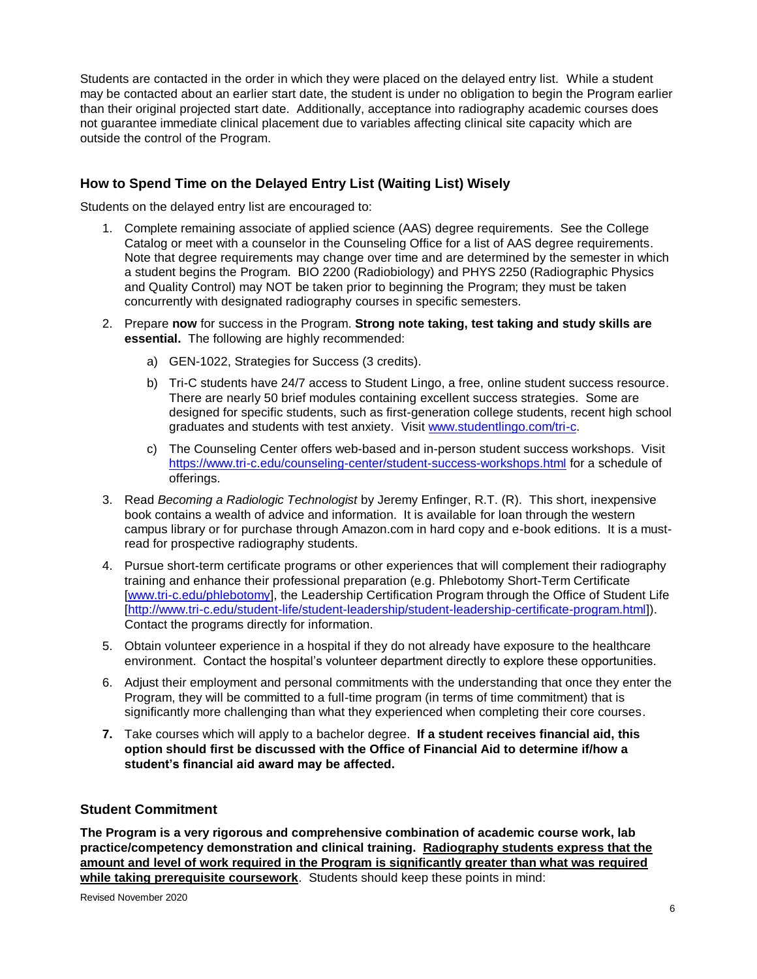Students are contacted in the order in which they were placed on the delayed entry list. While a student may be contacted about an earlier start date, the student is under no obligation to begin the Program earlier than their original projected start date. Additionally, acceptance into radiography academic courses does not guarantee immediate clinical placement due to variables affecting clinical site capacity which are outside the control of the Program.

## **How to Spend Time on the Delayed Entry List (Waiting List) Wisely**

Students on the delayed entry list are encouraged to:

- 1. Complete remaining associate of applied science (AAS) degree requirements. See the College Catalog or meet with a counselor in the Counseling Office for a list of AAS degree requirements. Note that degree requirements may change over time and are determined by the semester in which a student begins the Program. BIO 2200 (Radiobiology) and PHYS 2250 (Radiographic Physics and Quality Control) may NOT be taken prior to beginning the Program; they must be taken concurrently with designated radiography courses in specific semesters.
- 2. Prepare **now** for success in the Program. **Strong note taking, test taking and study skills are essential.** The following are highly recommended:
	- a) GEN-1022, Strategies for Success (3 credits).
	- b) Tri-C students have 24/7 access to Student Lingo, a free, online student success resource. There are nearly 50 brief modules containing excellent success strategies. Some are designed for specific students, such as first-generation college students, recent high school graduates and students with test anxiety. Visit [www.studentlingo.com/tri-c.](http://www.studentlingo.com/tri-c)
	- c) The Counseling Center offers web-based and in-person student success workshops. Visit <https://www.tri-c.edu/counseling-center/student-success-workshops.html> for a schedule of offerings.
- 3. Read *Becoming a Radiologic Technologist* by Jeremy Enfinger, R.T. (R). This short, inexpensive book contains a wealth of advice and information. It is available for loan through the western campus library or for purchase through Amazon.com in hard copy and e-book editions. It is a mustread for prospective radiography students.
- 4. Pursue short-term certificate programs or other experiences that will complement their radiography training and enhance their professional preparation (e.g. Phlebotomy Short-Term Certificate [\[www.tri-c.edu/phlebotomy\]](http://www.tri-c.edu/phlebotomy), the Leadership Certification Program through the Office of Student Life [\[http://www.tri-c.edu/student-life/student-leadership/student-leadership-certificate-program.html\]](http://www.tri-c.edu/student-life/student-leadership/student-leadership-certificate-program.html)). Contact the programs directly for information.
- 5. Obtain volunteer experience in a hospital if they do not already have exposure to the healthcare environment. Contact the hospital's volunteer department directly to explore these opportunities.
- 6. Adjust their employment and personal commitments with the understanding that once they enter the Program, they will be committed to a full-time program (in terms of time commitment) that is significantly more challenging than what they experienced when completing their core courses.
- **7.** Take courses which will apply to a bachelor degree. **If a student receives financial aid, this option should first be discussed with the Office of Financial Aid to determine if/how a student's financial aid award may be affected.**

## **Student Commitment**

**The Program is a very rigorous and comprehensive combination of academic course work, lab practice/competency demonstration and clinical training. Radiography students express that the amount and level of work required in the Program is significantly greater than what was required while taking prerequisite coursework**. Students should keep these points in mind:

Revised November 2020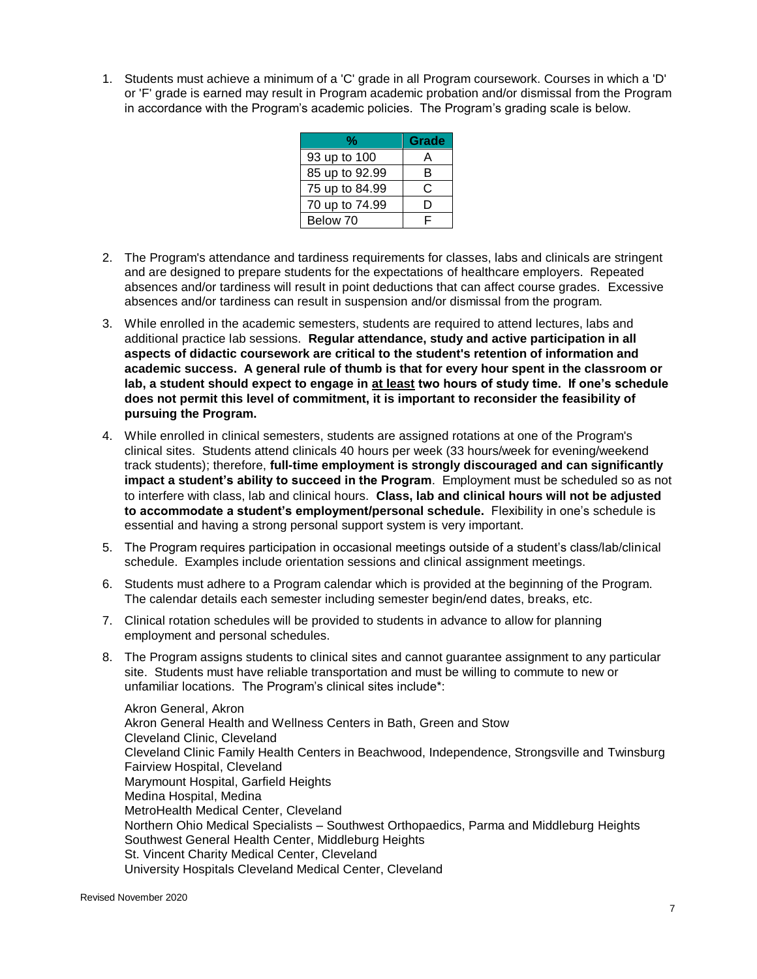1. Students must achieve a minimum of a 'C' grade in all Program coursework. Courses in which a 'D' or 'F' grade is earned may result in Program academic probation and/or dismissal from the Program in accordance with the Program's academic policies. The Program's grading scale is below.

| ℆              | Grade |
|----------------|-------|
| 93 up to 100   |       |
| 85 up to 92.99 | R     |
| 75 up to 84.99 | C.    |
| 70 up to 74.99 | Ð     |
| Below 70       |       |

- 2. The Program's attendance and tardiness requirements for classes, labs and clinicals are stringent and are designed to prepare students for the expectations of healthcare employers. Repeated absences and/or tardiness will result in point deductions that can affect course grades. Excessive absences and/or tardiness can result in suspension and/or dismissal from the program.
- 3. While enrolled in the academic semesters, students are required to attend lectures, labs and additional practice lab sessions. **Regular attendance, study and active participation in all aspects of didactic coursework are critical to the student's retention of information and academic success. A general rule of thumb is that for every hour spent in the classroom or lab, a student should expect to engage in at least two hours of study time. If one's schedule does not permit this level of commitment, it is important to reconsider the feasibility of pursuing the Program.**
- 4. While enrolled in clinical semesters, students are assigned rotations at one of the Program's clinical sites. Students attend clinicals 40 hours per week (33 hours/week for evening/weekend track students); therefore, **full-time employment is strongly discouraged and can significantly impact a student's ability to succeed in the Program**. Employment must be scheduled so as not to interfere with class, lab and clinical hours. **Class, lab and clinical hours will not be adjusted to accommodate a student's employment/personal schedule.** Flexibility in one's schedule is essential and having a strong personal support system is very important.
- 5. The Program requires participation in occasional meetings outside of a student's class/lab/clinical schedule. Examples include orientation sessions and clinical assignment meetings.
- 6. Students must adhere to a Program calendar which is provided at the beginning of the Program. The calendar details each semester including semester begin/end dates, breaks, etc.
- 7. Clinical rotation schedules will be provided to students in advance to allow for planning employment and personal schedules.
- 8. The Program assigns students to clinical sites and cannot guarantee assignment to any particular site. Students must have reliable transportation and must be willing to commute to new or unfamiliar locations. The Program's clinical sites include\*:

Akron General, Akron Akron General Health and Wellness Centers in Bath, Green and Stow Cleveland Clinic, Cleveland Cleveland Clinic Family Health Centers in Beachwood, Independence, Strongsville and Twinsburg Fairview Hospital, Cleveland Marymount Hospital, Garfield Heights Medina Hospital, Medina MetroHealth Medical Center, Cleveland Northern Ohio Medical Specialists – Southwest Orthopaedics, Parma and Middleburg Heights Southwest General Health Center, Middleburg Heights St. Vincent Charity Medical Center, Cleveland University Hospitals Cleveland Medical Center, Cleveland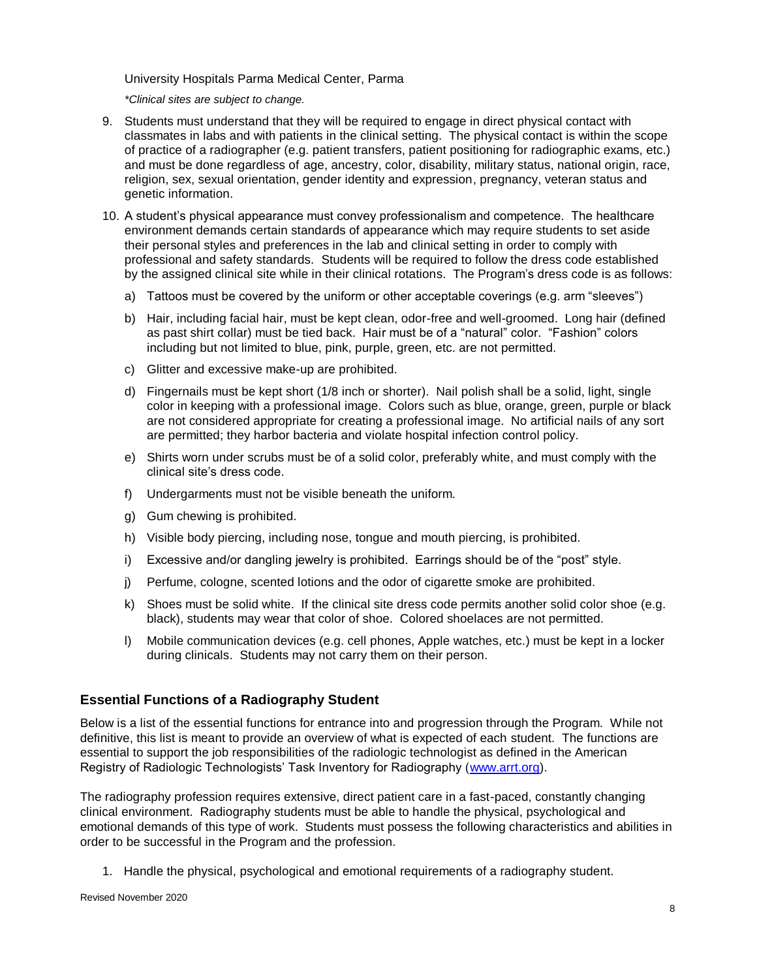University Hospitals Parma Medical Center, Parma

*\*Clinical sites are subject to change.*

- 9. Students must understand that they will be required to engage in direct physical contact with classmates in labs and with patients in the clinical setting. The physical contact is within the scope of practice of a radiographer (e.g. patient transfers, patient positioning for radiographic exams, etc.) and must be done regardless of age, ancestry, color, disability, military status, national origin, race, religion, sex, sexual orientation, gender identity and expression, pregnancy, veteran status and genetic information.
- 10. A student's physical appearance must convey professionalism and competence. The healthcare environment demands certain standards of appearance which may require students to set aside their personal styles and preferences in the lab and clinical setting in order to comply with professional and safety standards. Students will be required to follow the dress code established by the assigned clinical site while in their clinical rotations. The Program's dress code is as follows:
	- a) Tattoos must be covered by the uniform or other acceptable coverings (e.g. arm "sleeves")
	- b) Hair, including facial hair, must be kept clean, odor-free and well-groomed. Long hair (defined as past shirt collar) must be tied back. Hair must be of a "natural" color. "Fashion" colors including but not limited to blue, pink, purple, green, etc. are not permitted.
	- c) Glitter and excessive make-up are prohibited.
	- d) Fingernails must be kept short (1/8 inch or shorter). Nail polish shall be a solid, light, single color in keeping with a professional image. Colors such as blue, orange, green, purple or black are not considered appropriate for creating a professional image. No artificial nails of any sort are permitted; they harbor bacteria and violate hospital infection control policy.
	- e) Shirts worn under scrubs must be of a solid color, preferably white, and must comply with the clinical site's dress code.
	- f) Undergarments must not be visible beneath the uniform.
	- g) Gum chewing is prohibited.
	- h) Visible body piercing, including nose, tongue and mouth piercing, is prohibited.
	- i) Excessive and/or dangling jewelry is prohibited. Earrings should be of the "post" style.
	- j) Perfume, cologne, scented lotions and the odor of cigarette smoke are prohibited.
	- k) Shoes must be solid white. If the clinical site dress code permits another solid color shoe (e.g. black), students may wear that color of shoe. Colored shoelaces are not permitted.
	- l) Mobile communication devices (e.g. cell phones, Apple watches, etc.) must be kept in a locker during clinicals. Students may not carry them on their person.

## **Essential Functions of a Radiography Student**

Below is a list of the essential functions for entrance into and progression through the Program. While not definitive, this list is meant to provide an overview of what is expected of each student. The functions are essential to support the job responsibilities of the radiologic technologist as defined in the American Registry of Radiologic Technologists' Task Inventory for Radiography [\(www.arrt.org\)](http://www.arrt.org/).

The radiography profession requires extensive, direct patient care in a fast-paced, constantly changing clinical environment. Radiography students must be able to handle the physical, psychological and emotional demands of this type of work. Students must possess the following characteristics and abilities in order to be successful in the Program and the profession.

1. Handle the physical, psychological and emotional requirements of a radiography student.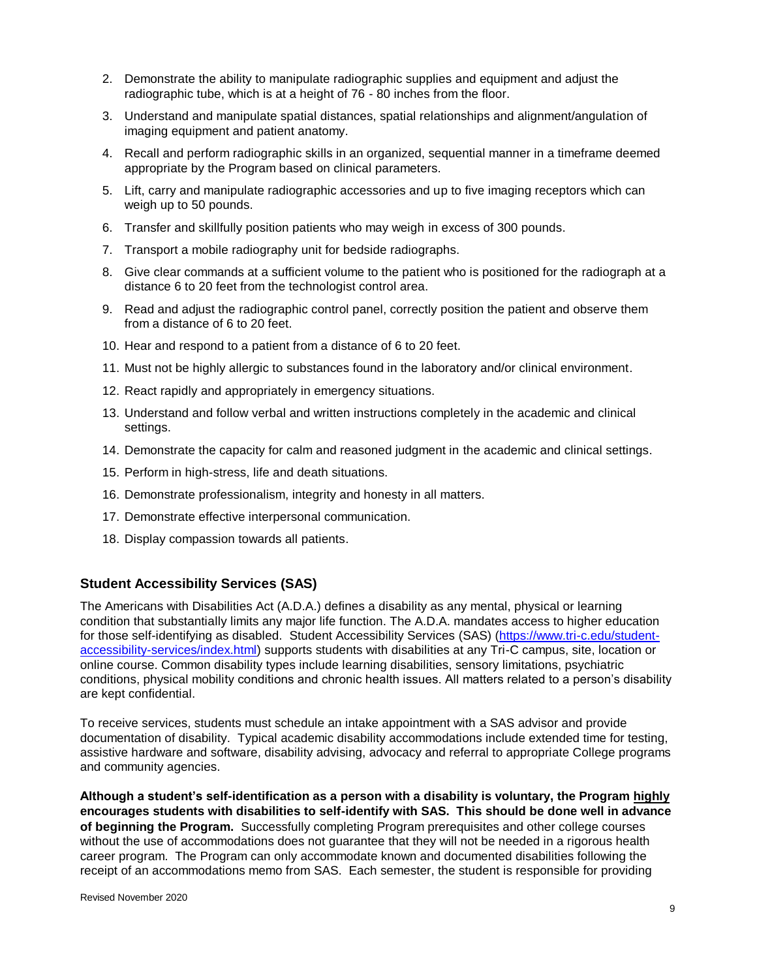- 2. Demonstrate the ability to manipulate radiographic supplies and equipment and adjust the radiographic tube, which is at a height of 76 - 80 inches from the floor.
- 3. Understand and manipulate spatial distances, spatial relationships and alignment/angulation of imaging equipment and patient anatomy.
- 4. Recall and perform radiographic skills in an organized, sequential manner in a timeframe deemed appropriate by the Program based on clinical parameters.
- 5. Lift, carry and manipulate radiographic accessories and up to five imaging receptors which can weigh up to 50 pounds.
- 6. Transfer and skillfully position patients who may weigh in excess of 300 pounds.
- 7. Transport a mobile radiography unit for bedside radiographs.
- 8. Give clear commands at a sufficient volume to the patient who is positioned for the radiograph at a distance 6 to 20 feet from the technologist control area.
- 9. Read and adjust the radiographic control panel, correctly position the patient and observe them from a distance of 6 to 20 feet.
- 10. Hear and respond to a patient from a distance of 6 to 20 feet.
- 11. Must not be highly allergic to substances found in the laboratory and/or clinical environment.
- 12. React rapidly and appropriately in emergency situations.
- 13. Understand and follow verbal and written instructions completely in the academic and clinical settings.
- 14. Demonstrate the capacity for calm and reasoned judgment in the academic and clinical settings.
- 15. Perform in high-stress, life and death situations.
- 16. Demonstrate professionalism, integrity and honesty in all matters.
- 17. Demonstrate effective interpersonal communication.
- 18. Display compassion towards all patients.

## **Student Accessibility Services (SAS)**

The Americans with Disabilities Act (A.D.A.) defines a disability as any mental, physical or learning condition that substantially limits any major life function. The A.D.A. mandates access to higher education for those self-identifying as disabled. Student Accessibility Services (SAS) [\(https://www.tri-c.edu/student](https://www.tri-c.edu/student-accessibility-services/index.html)[accessibility-services/index.html\)](https://www.tri-c.edu/student-accessibility-services/index.html) supports students with disabilities at any Tri-C campus, site, location or online course. Common disability types include learning disabilities, sensory limitations, psychiatric conditions, physical mobility conditions and chronic health issues. All matters related to a person's disability are kept confidential.

To receive services, students must schedule an intake appointment with a SAS advisor and provide documentation of disability. Typical academic disability accommodations include extended time for testing, assistive hardware and software, disability advising, advocacy and referral to appropriate College programs and community agencies.

**Although a student's self-identification as a person with a disability is voluntary, the Program highly encourages students with disabilities to self-identify with SAS. This should be done well in advance of beginning the Program.** Successfully completing Program prerequisites and other college courses without the use of accommodations does not guarantee that they will not be needed in a rigorous health career program. The Program can only accommodate known and documented disabilities following the receipt of an accommodations memo from SAS. Each semester, the student is responsible for providing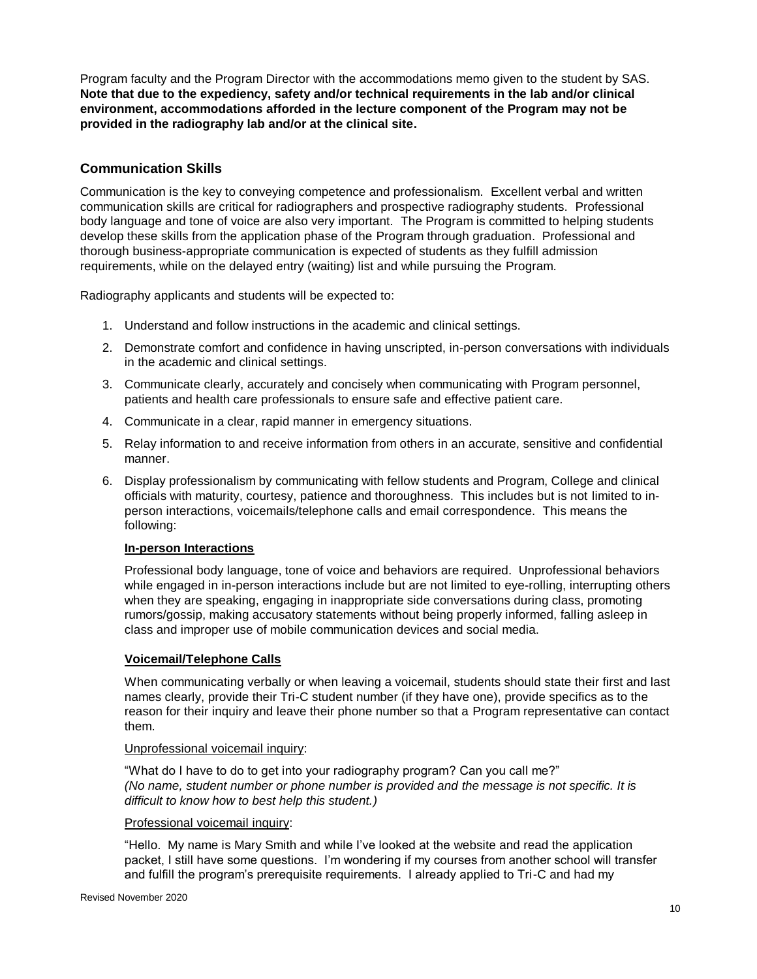Program faculty and the Program Director with the accommodations memo given to the student by SAS. **Note that due to the expediency, safety and/or technical requirements in the lab and/or clinical environment, accommodations afforded in the lecture component of the Program may not be provided in the radiography lab and/or at the clinical site.**

## **Communication Skills**

Communication is the key to conveying competence and professionalism. Excellent verbal and written communication skills are critical for radiographers and prospective radiography students. Professional body language and tone of voice are also very important. The Program is committed to helping students develop these skills from the application phase of the Program through graduation. Professional and thorough business-appropriate communication is expected of students as they fulfill admission requirements, while on the delayed entry (waiting) list and while pursuing the Program.

Radiography applicants and students will be expected to:

- 1. Understand and follow instructions in the academic and clinical settings.
- 2. Demonstrate comfort and confidence in having unscripted, in-person conversations with individuals in the academic and clinical settings.
- 3. Communicate clearly, accurately and concisely when communicating with Program personnel, patients and health care professionals to ensure safe and effective patient care.
- 4. Communicate in a clear, rapid manner in emergency situations.
- 5. Relay information to and receive information from others in an accurate, sensitive and confidential manner.
- 6. Display professionalism by communicating with fellow students and Program, College and clinical officials with maturity, courtesy, patience and thoroughness. This includes but is not limited to inperson interactions, voicemails/telephone calls and email correspondence. This means the following:

## **In-person Interactions**

Professional body language, tone of voice and behaviors are required. Unprofessional behaviors while engaged in in-person interactions include but are not limited to eye-rolling, interrupting others when they are speaking, engaging in inappropriate side conversations during class, promoting rumors/gossip, making accusatory statements without being properly informed, falling asleep in class and improper use of mobile communication devices and social media.

## **Voicemail/Telephone Calls**

When communicating verbally or when leaving a voicemail, students should state their first and last names clearly, provide their Tri-C student number (if they have one), provide specifics as to the reason for their inquiry and leave their phone number so that a Program representative can contact them.

#### Unprofessional voicemail inquiry:

"What do I have to do to get into your radiography program? Can you call me?" *(No name, student number or phone number is provided and the message is not specific. It is difficult to know how to best help this student.)*

#### Professional voicemail inquiry:

"Hello. My name is Mary Smith and while I've looked at the website and read the application packet, I still have some questions. I'm wondering if my courses from another school will transfer and fulfill the program's prerequisite requirements. I already applied to Tri-C and had my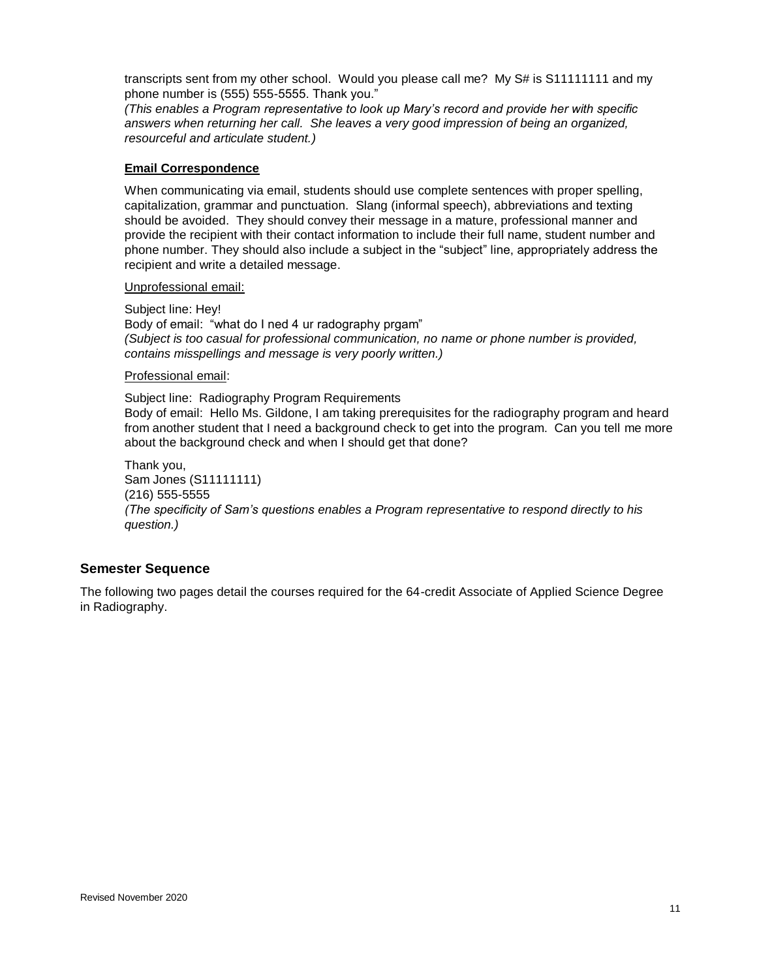transcripts sent from my other school. Would you please call me? My S# is S11111111 and my phone number is (555) 555-5555. Thank you."

*(This enables a Program representative to look up Mary's record and provide her with specific answers when returning her call. She leaves a very good impression of being an organized, resourceful and articulate student.)*

#### **Email Correspondence**

When communicating via email, students should use complete sentences with proper spelling, capitalization, grammar and punctuation. Slang (informal speech), abbreviations and texting should be avoided. They should convey their message in a mature, professional manner and provide the recipient with their contact information to include their full name, student number and phone number. They should also include a subject in the "subject" line, appropriately address the recipient and write a detailed message.

#### Unprofessional email:

Subject line: Hey! Body of email: "what do I ned 4 ur radography prgam" *(Subject is too casual for professional communication, no name or phone number is provided, contains misspellings and message is very poorly written.)*

#### Professional email:

Subject line: Radiography Program Requirements Body of email: Hello Ms. Gildone, I am taking prerequisites for the radiography program and heard from another student that I need a background check to get into the program. Can you tell me more about the background check and when I should get that done?

Thank you, Sam Jones (S11111111) (216) 555-5555 *(The specificity of Sam's questions enables a Program representative to respond directly to his question.)*

## **Semester Sequence**

The following two pages detail the courses required for the 64-credit Associate of Applied Science Degree in Radiography.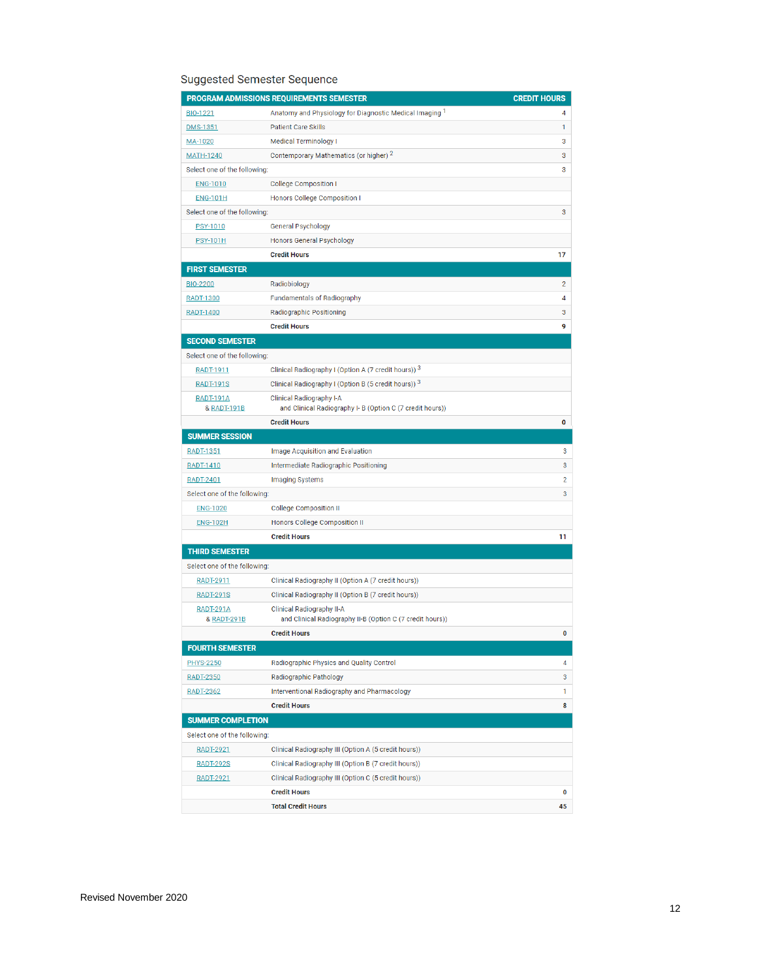# Suggested Semester Sequence

|                                            | PROGRAM ADMISSIONS REQUIREMENTS SEMESTER                                                     | <b>CREDIT HOURS</b> |
|--------------------------------------------|----------------------------------------------------------------------------------------------|---------------------|
| BIO-1221                                   | Anatomy and Physiology for Diagnostic Medical Imaging 1                                      | 4                   |
| <b>DMS-1351</b>                            | <b>Patient Care Skills</b>                                                                   | 1                   |
| MA-1020                                    | <b>Medical Terminology I</b>                                                                 | 3                   |
| <b>MATH-1240</b>                           | Contemporary Mathematics (or higher) 2                                                       | 3                   |
| Select one of the following:               |                                                                                              | 3                   |
| <b>ENG-1010</b>                            | <b>College Composition I</b>                                                                 |                     |
| <b>ENG-101H</b>                            | Honors College Composition I                                                                 |                     |
| Select one of the following:               |                                                                                              | 3                   |
| PSY-1010                                   | General Psychology                                                                           |                     |
| <b>PSY-101H</b>                            | <b>Honors General Psychology</b>                                                             |                     |
|                                            | <b>Credit Hours</b>                                                                          | 17                  |
| <b>FIRST SEMESTER</b>                      |                                                                                              |                     |
| <b>BIO-2200</b>                            | Radiobiology                                                                                 | 2                   |
| RADT-1300                                  | <b>Fundamentals of Radiography</b>                                                           | 4                   |
| <b>RADT-1400</b>                           | <b>Radiographic Positioning</b>                                                              | 3                   |
|                                            | <b>Credit Hours</b>                                                                          | 9                   |
| <b>SECOND SEMESTER</b>                     |                                                                                              |                     |
| Select one of the following:               |                                                                                              |                     |
| RADT-1911                                  | Clinical Radiography I (Option A (7 credit hours)) 3                                         |                     |
| <b>RADT-191S</b>                           | Clinical Radiography I (Option B (5 credit hours)) 3                                         |                     |
| <b>RADT-191A</b><br>& RADT-191B            | <b>Clinical Radiography I-A</b><br>and Clinical Radiography I- B (Option C (7 credit hours)) |                     |
|                                            | <b>Credit Hours</b>                                                                          | 0                   |
| <b>SUMMER SESSION</b>                      |                                                                                              |                     |
| <b>RADT-1351</b>                           | Image Acquisition and Evaluation                                                             | 3                   |
| RADT-1410                                  | Intermediate Radiographic Positioning                                                        | 3                   |
| <b>RADT-2401</b>                           | <b>Imaging Systems</b>                                                                       | 2                   |
| Select one of the following:               |                                                                                              | 3                   |
| <b>ENG-1020</b>                            | <b>College Composition II</b>                                                                |                     |
| <b>ENG-102H</b>                            | Honors College Composition II                                                                |                     |
|                                            | <b>Credit Hours</b>                                                                          | 11                  |
| <b>THIRD SEMESTER</b>                      |                                                                                              |                     |
| Select one of the following:               |                                                                                              |                     |
| RADT-2911                                  | Clinical Radiography II (Option A (7 credit hours))                                          |                     |
| <b>RADT-291S</b>                           | Clinical Radiography II (Option B (7 credit hours))                                          |                     |
| <b>RADT-291A</b><br><b>&amp; RADT-291B</b> | Clinical Radiography II-A<br>and Clinical Radiography II-B (Option C (7 credit hours))       |                     |
|                                            | <b>Credit Hours</b>                                                                          | 0                   |
| <b>FOURTH SEMESTER</b>                     |                                                                                              |                     |
| <b>PHYS-2250</b>                           | Radiographic Physics and Quality Control                                                     | 4                   |
| <b>RADT-2350</b>                           | Radiographic Pathology                                                                       | 3                   |
| <b>RADT-2362</b>                           | Interventional Radiography and Pharmacology                                                  | 1                   |
|                                            | <b>Credit Hours</b>                                                                          | 8                   |
| <b>SUMMER COMPLETION</b>                   |                                                                                              |                     |
| Select one of the following:               |                                                                                              |                     |
| <b>RADT-2921</b>                           | Clinical Radiography III (Option A (5 credit hours))                                         |                     |
| <b>RADT-292S</b>                           | Clinical Radiography III (Option B (7 credit hours))                                         |                     |
| <b>RADT-2921</b>                           | Clinical Radiography III (Option C (5 credit hours))                                         |                     |
|                                            | <b>Credit Hours</b>                                                                          | 0                   |
|                                            | <b>Total Credit Hours</b>                                                                    | 45                  |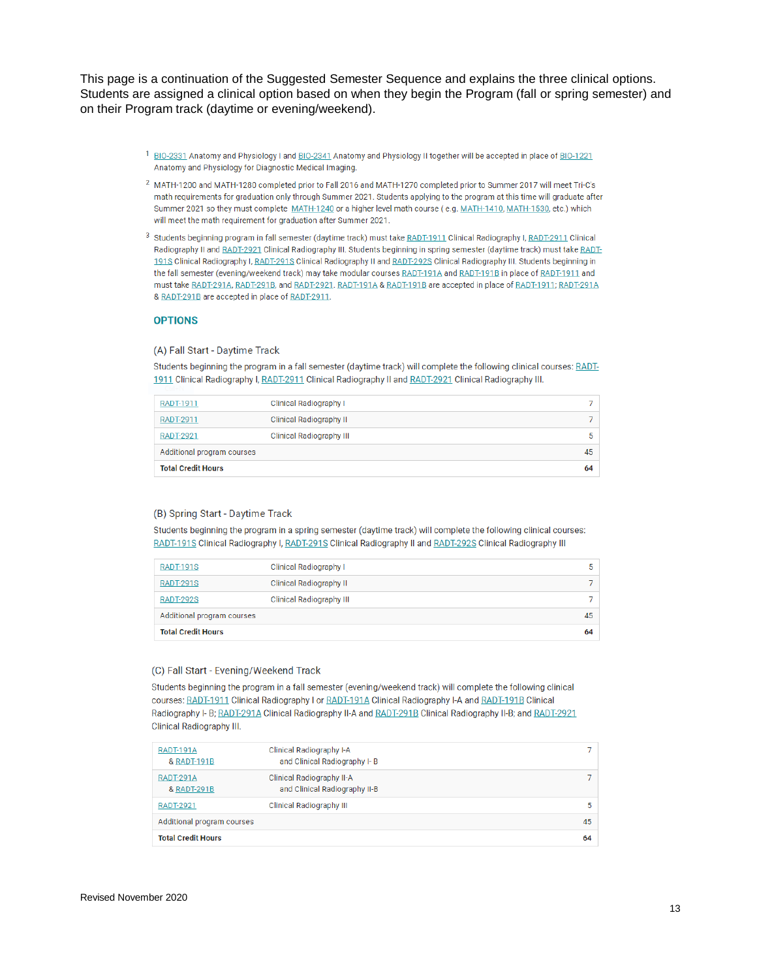This page is a continuation of the Suggested Semester Sequence and explains the three clinical options. Students are assigned a clinical option based on when they begin the Program (fall or spring semester) and on their Program track (daytime or evening/weekend).

- <sup>1</sup> BIO-2331 Anatomy and Physiology I and BIO-2341 Anatomy and Physiology II together will be accepted in place of BIO-1221 Anatomy and Physiology for Diagnostic Medical Imaging.
- <sup>2</sup> MATH-1200 and MATH-1280 completed prior to Fall 2016 and MATH-1270 completed prior to Summer 2017 will meet Tri-C's math requirements for graduation only through Summer 2021. Students applying to the program at this time will graduate after Summer 2021 so they must complete MATH-1240 or a higher level math course (e.g. MATH-1410, MATH-1530, etc.) which will meet the math requirement for graduation after Summer 2021.
- 3 Students beginning program in fall semester (daytime track) must take RADT-1911 Clinical Radiography I, RADT-2911 Clinical Radiography II and RADT-2921 Clinical Radiography III. Students beginning in spring semester (daytime track) must take RADT-1918 Clinical Radiography I, RADT-2918 Clinical Radiography II and RADT-2928 Clinical Radiography III. Students beginning in the fall semester (evening/weekend track) may take modular courses RADT-191A and RADT-191B in place of RADT-1911 and must take RADT-291A, RADT-291B, and RADT-2921. RADT-191A & RADT-191B are accepted in place of RADT-1911; RADT-291A & RADT-291B are accepted in place of RADT-2911.

#### **OPTIONS**

#### (A) Fall Start - Daytime Track

Students beginning the program in a fall semester (daytime track) will complete the following clinical courses: RADT-1911 Clinical Radiography I, RADT-2911 Clinical Radiography II and RADT-2921 Clinical Radiography III.

| <b>Total Credit Hours</b>  |                                 | 64 |
|----------------------------|---------------------------------|----|
| Additional program courses |                                 | 45 |
| <b>RADT-2921</b>           | <b>Clinical Radiography III</b> | 5  |
| <b>RADT-2911</b>           | <b>Clinical Radiography II</b>  |    |
| RADT-1911                  | <b>Clinical Radiography I</b>   |    |

#### (B) Spring Start - Daytime Track

Students beginning the program in a spring semester (daytime track) will complete the following clinical courses: RADT-191S Clinical Radiography I, RADT-291S Clinical Radiography II and RADT-292S Clinical Radiography III

| <b>RADT-191S</b>           | <b>Clinical Radiography I</b>   | 5  |
|----------------------------|---------------------------------|----|
| <b>RADT-291S</b>           | <b>Clinical Radiography II</b>  |    |
| <b>RADT-292S</b>           | <b>Clinical Radiography III</b> |    |
| Additional program courses |                                 | 45 |
| <b>Total Credit Hours</b>  |                                 | 64 |

#### (C) Fall Start - Evening/Weekend Track

Students beginning the program in a fall semester (evening/weekend track) will complete the following clinical courses: RADT-1911 Clinical Radiography I or RADT-191A Clinical Radiography I-A and RADT-191B Clinical Radiography I- B; RADT-291A Clinical Radiography II-A and RADT-291B Clinical Radiography II-B; and RADT-2921 Clinical Radiography III.

| <b>RADT-191A</b><br>& RADT-191B | Clinical Radiography I-A<br>and Clinical Radiography I-B          |    |   |
|---------------------------------|-------------------------------------------------------------------|----|---|
| <b>RADT-291A</b><br>& RADT-291B | <b>Clinical Radiography II-A</b><br>and Clinical Radiography II-B |    |   |
| <b>RADT-2921</b>                | <b>Clinical Radiography III</b>                                   |    | 5 |
| Additional program courses      |                                                                   | 45 |   |
| <b>Total Credit Hours</b>       |                                                                   | 64 |   |
|                                 |                                                                   |    |   |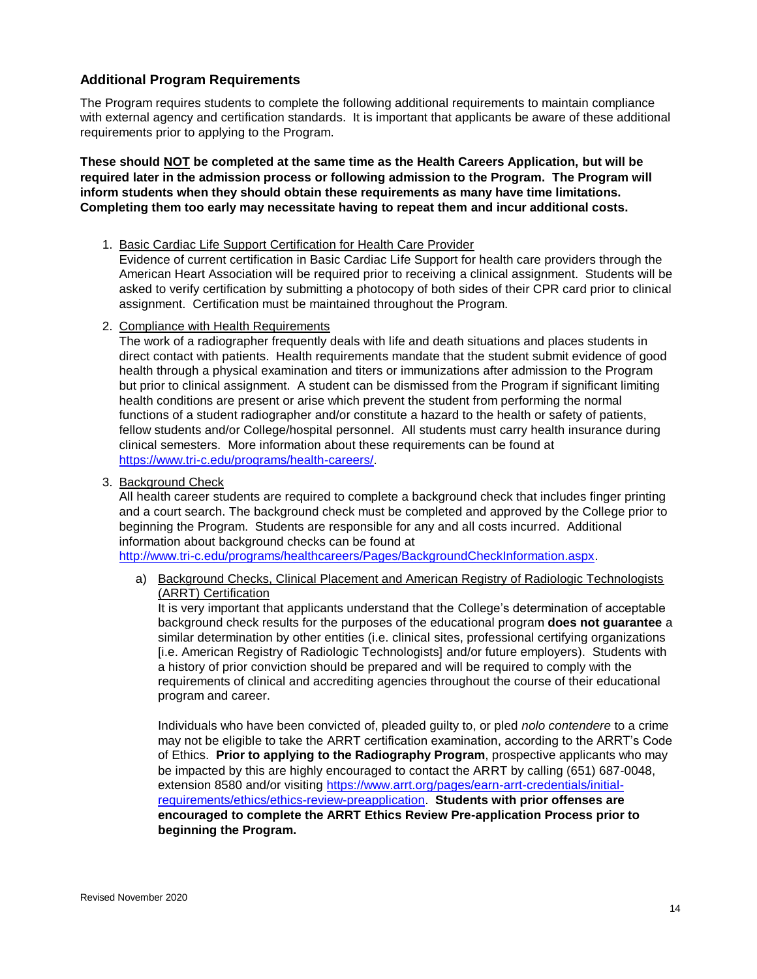## **Additional Program Requirements**

The Program requires students to complete the following additional requirements to maintain compliance with external agency and certification standards. It is important that applicants be aware of these additional requirements prior to applying to the Program.

**These should NOT be completed at the same time as the Health Careers Application, but will be required later in the admission process or following admission to the Program. The Program will inform students when they should obtain these requirements as many have time limitations. Completing them too early may necessitate having to repeat them and incur additional costs.** 

#### 1. Basic Cardiac Life Support Certification for Health Care Provider

Evidence of current certification in Basic Cardiac Life Support for health care providers through the American Heart Association will be required prior to receiving a clinical assignment. Students will be asked to verify certification by submitting a photocopy of both sides of their CPR card prior to clinical assignment. Certification must be maintained throughout the Program.

2. Compliance with Health Requirements

The work of a radiographer frequently deals with life and death situations and places students in direct contact with patients. Health requirements mandate that the student submit evidence of good health through a physical examination and titers or immunizations after admission to the Program but prior to clinical assignment. A student can be dismissed from the Program if significant limiting health conditions are present or arise which prevent the student from performing the normal functions of a student radiographer and/or constitute a hazard to the health or safety of patients, fellow students and/or College/hospital personnel. All students must carry health insurance during clinical semesters. More information about these requirements can be found at [https://www.tri-c.edu/programs/health-careers/.](https://www.tri-c.edu/programs/health-careers/)

3. Background Check

All health career students are required to complete a background check that includes finger printing and a court search. The background check must be completed and approved by the College prior to beginning the Program. Students are responsible for any and all costs incurred. Additional information about background checks can be found at

[http://www.tri-c.edu/programs/healthcareers/Pages/BackgroundCheckInformation.aspx.](http://www.tri-c.edu/programs/healthcareers/Pages/BackgroundCheckInformation.aspx)

a) Background Checks, Clinical Placement and American Registry of Radiologic Technologists (ARRT) Certification

It is very important that applicants understand that the College's determination of acceptable background check results for the purposes of the educational program **does not guarantee** a similar determination by other entities (i.e. clinical sites, professional certifying organizations [i.e. American Registry of Radiologic Technologists] and/or future employers). Students with a history of prior conviction should be prepared and will be required to comply with the requirements of clinical and accrediting agencies throughout the course of their educational program and career.

Individuals who have been convicted of, pleaded guilty to, or pled *nolo contendere* to a crime may not be eligible to take the ARRT certification examination, according to the ARRT's Code of Ethics. **Prior to applying to the Radiography Program**, prospective applicants who may be impacted by this are highly encouraged to contact the ARRT by calling (651) 687-0048, extension 8580 and/or visiting [https://www.arrt.org/pages/earn-arrt-credentials/initial](https://www.arrt.org/pages/earn-arrt-credentials/initial-requirements/ethics/ethics-review-preapplication)[requirements/ethics/ethics-review-preapplication.](https://www.arrt.org/pages/earn-arrt-credentials/initial-requirements/ethics/ethics-review-preapplication) **Students with prior offenses are encouraged to complete the ARRT Ethics Review Pre-application Process prior to beginning the Program.**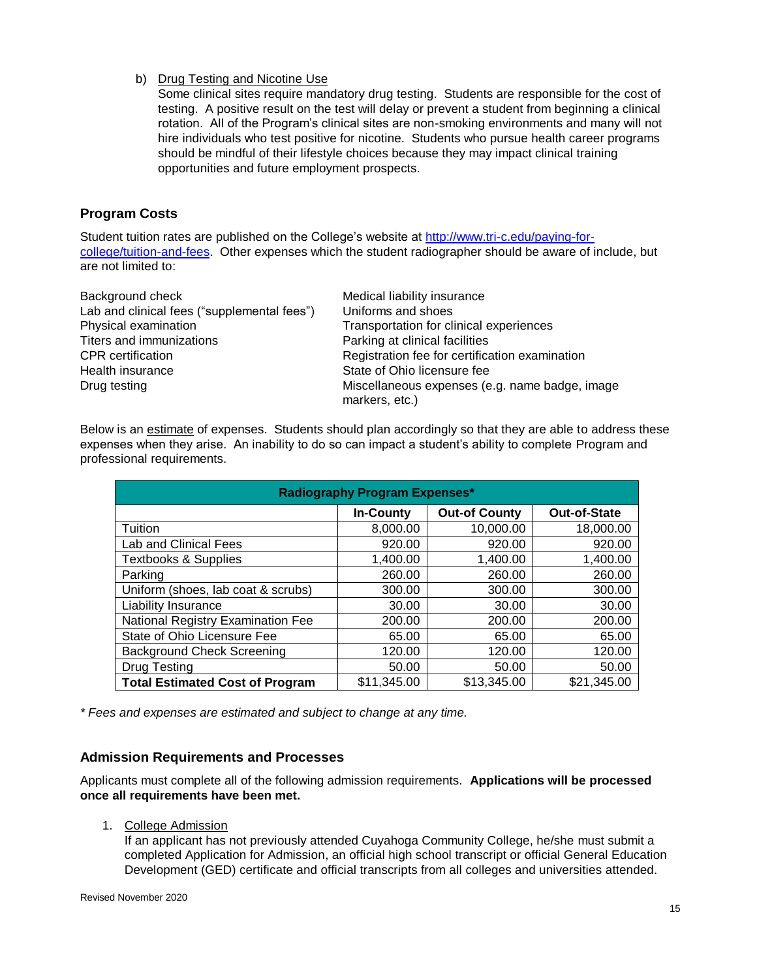b) Drug Testing and Nicotine Use

Some clinical sites require mandatory drug testing. Students are responsible for the cost of testing. A positive result on the test will delay or prevent a student from beginning a clinical rotation. All of the Program's clinical sites are non-smoking environments and many will not hire individuals who test positive for nicotine. Students who pursue health career programs should be mindful of their lifestyle choices because they may impact clinical training opportunities and future employment prospects.

# **Program Costs**

Student tuition rates are published on the College's website at [http://www.tri-c.edu/paying-for](http://www.tri-c.edu/paying-for-college/tuition-and-fees)[college/tuition-and-fees.](http://www.tri-c.edu/paying-for-college/tuition-and-fees) Other expenses which the student radiographer should be aware of include, but are not limited to:

| Background check                            | Medical liability insurance                                      |  |
|---------------------------------------------|------------------------------------------------------------------|--|
| Lab and clinical fees ("supplemental fees") | Uniforms and shoes                                               |  |
| Physical examination                        | Transportation for clinical experiences                          |  |
| Titers and immunizations                    | Parking at clinical facilities                                   |  |
| <b>CPR</b> certification                    | Registration fee for certification examination                   |  |
| Health insurance                            | State of Ohio licensure fee                                      |  |
| Drug testing                                | Miscellaneous expenses (e.g. name badge, image<br>markers, etc.) |  |

Below is an estimate of expenses. Students should plan accordingly so that they are able to address these expenses when they arise. An inability to do so can impact a student's ability to complete Program and professional requirements.

| <b>Radiography Program Expenses*</b>   |                  |                      |                     |  |
|----------------------------------------|------------------|----------------------|---------------------|--|
|                                        | <b>In-County</b> | <b>Out-of County</b> | <b>Out-of-State</b> |  |
| Tuition                                | 8,000.00         | 10,000.00            | 18,000.00           |  |
| Lab and Clinical Fees                  | 920.00           | 920.00               | 920.00              |  |
| <b>Textbooks &amp; Supplies</b>        | 1,400.00         | 1,400.00             | 1,400.00            |  |
| Parking                                | 260.00           | 260.00               | 260.00              |  |
| Uniform (shoes, lab coat & scrubs)     | 300.00           | 300.00               | 300.00              |  |
| <b>Liability Insurance</b>             | 30.00            | 30.00                | 30.00               |  |
| National Registry Examination Fee      | 200.00           | 200.00               | 200.00              |  |
| State of Ohio Licensure Fee            | 65.00            | 65.00                | 65.00               |  |
| <b>Background Check Screening</b>      | 120.00           | 120.00               | 120.00              |  |
| Drug Testing                           | 50.00            | 50.00                | 50.00               |  |
| <b>Total Estimated Cost of Program</b> | \$11,345.00      | \$13,345.00          | \$21,345.00         |  |

*\* Fees and expenses are estimated and subject to change at any time.*

## **Admission Requirements and Processes**

Applicants must complete all of the following admission requirements. **Applications will be processed once all requirements have been met.** 

1. College Admission

If an applicant has not previously attended Cuyahoga Community College, he/she must submit a completed Application for Admission, an official high school transcript or official General Education Development (GED) certificate and official transcripts from all colleges and universities attended.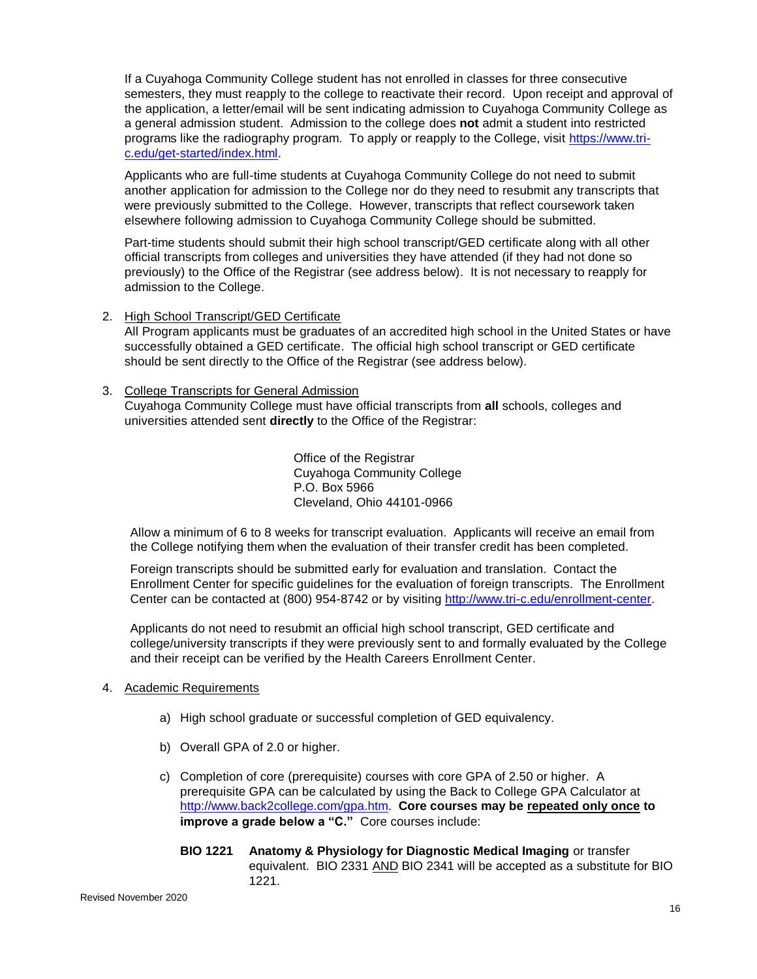If a Cuyahoga Community College student has not enrolled in classes for three consecutive semesters, they must reapply to the college to reactivate their record. Upon receipt and approval of the application, a letter/email will be sent indicating admission to Cuyahoga Community College as a general admission student. Admission to the college does **not** admit a student into restricted programs like the radiography program. To apply or reapply to the College, visit [https://www.tri](https://www.tri-c.edu/get-started/index.html)[c.edu/get-started/index.html.](https://www.tri-c.edu/get-started/index.html)

Applicants who are full-time students at Cuyahoga Community College do not need to submit another application for admission to the College nor do they need to resubmit any transcripts that were previously submitted to the College. However, transcripts that reflect coursework taken elsewhere following admission to Cuyahoga Community College should be submitted.

Part-time students should submit their high school transcript/GED certificate along with all other official transcripts from colleges and universities they have attended (if they had not done so previously) to the Office of the Registrar (see address below). It is not necessary to reapply for admission to the College.

2. High School Transcript/GED Certificate

All Program applicants must be graduates of an accredited high school in the United States or have successfully obtained a GED certificate. The official high school transcript or GED certificate should be sent directly to the Office of the Registrar (see address below).

3. College Transcripts for General Admission

Cuyahoga Community College must have official transcripts from **all** schools, colleges and universities attended sent **directly** to the Office of the Registrar:

> Office of the Registrar Cuyahoga Community College P.O. Box 5966 Cleveland, Ohio 44101-0966

Allow a minimum of 6 to 8 weeks for transcript evaluation. Applicants will receive an email from the College notifying them when the evaluation of their transfer credit has been completed.

Foreign transcripts should be submitted early for evaluation and translation. Contact the Enrollment Center for specific guidelines for the evaluation of foreign transcripts. The Enrollment Center can be contacted at (800) 954-8742 or by visiting [http://www.tri-c.edu/enrollment-center.](http://www.tri-c.edu/enrollment-center)

Applicants do not need to resubmit an official high school transcript, GED certificate and college/university transcripts if they were previously sent to and formally evaluated by the College and their receipt can be verified by the Health Careers Enrollment Center.

## 4. Academic Requirements

- a) High school graduate or successful completion of GED equivalency.
- b) Overall GPA of 2.0 or higher.
- c) Completion of core (prerequisite) courses with core GPA of 2.50 or higher. A prerequisite GPA can be calculated by using the Back to College GPA Calculator at [http://www.back2college.com/gpa.htm.](http://www.back2college.com/gpa.htm) **Core courses may be repeated only once to improve a grade below a "C."** Core courses include:
	- **BIO 1221 Anatomy & Physiology for Diagnostic Medical Imaging** or transfer equivalent. BIO 2331 AND BIO 2341 will be accepted as a substitute for BIO 1221.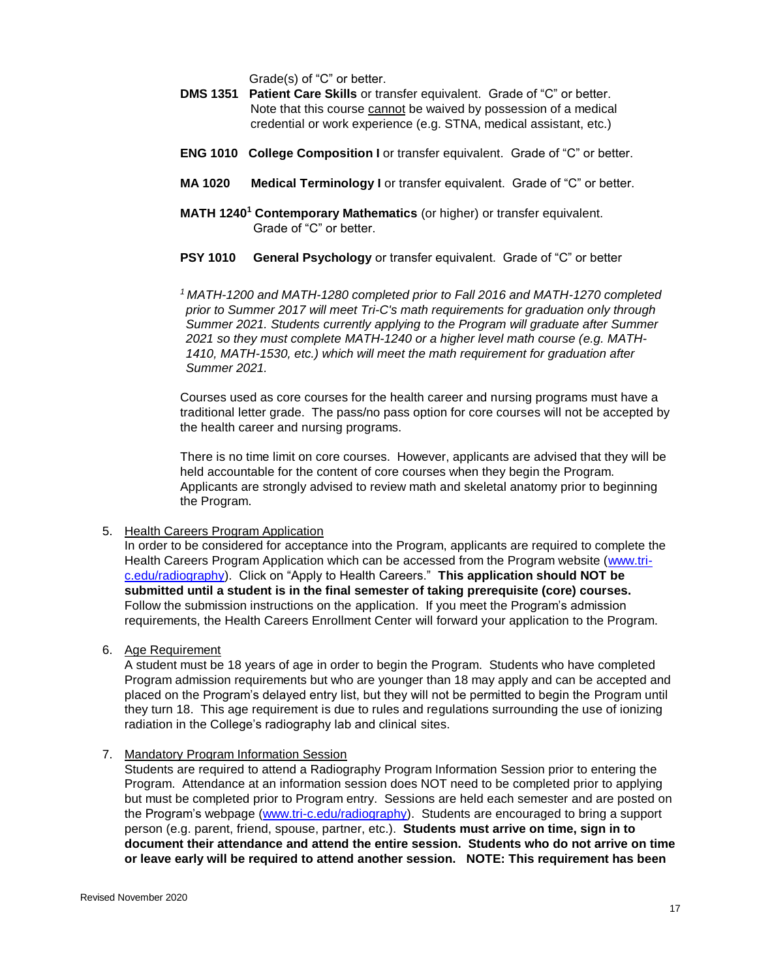Grade(s) of "C" or better.

- **DMS 1351 Patient Care Skills** or transfer equivalent. Grade of "C" or better. Note that this course cannot be waived by possession of a medical credential or work experience (e.g. STNA, medical assistant, etc.)
- **ENG 1010 College Composition I** or transfer equivalent. Grade of "C" or better.
- **MA 1020 Medical Terminology I** or transfer equivalent. Grade of "C" or better.
- **MATH 1240<sup>1</sup> Contemporary Mathematics** (or higher) or transfer equivalent. Grade of "C" or better.
- **PSY 1010 General Psychology** or transfer equivalent. Grade of "C" or better

*<sup>1</sup>MATH-1200 and MATH-1280 completed prior to Fall 2016 and MATH-1270 completed prior to Summer 2017 will meet Tri-C's math requirements for graduation only through Summer 2021. Students currently applying to the Program will graduate after Summer 2021 so they must complete MATH-1240 or a higher level math course (e.g. MATH-1410, MATH-1530, etc.) which will meet the math requirement for graduation after Summer 2021.*

Courses used as core courses for the health career and nursing programs must have a traditional letter grade. The pass/no pass option for core courses will not be accepted by the health career and nursing programs.

There is no time limit on core courses. However, applicants are advised that they will be held accountable for the content of core courses when they begin the Program. Applicants are strongly advised to review math and skeletal anatomy prior to beginning the Program.

5. Health Careers Program Application

In order to be considered for acceptance into the Program, applicants are required to complete the Health Careers Program Application which can be accessed from the Program website [\(www.tri](http://www.tri-c.edu/radiography)[c.edu/radiography\)](http://www.tri-c.edu/radiography). Click on "Apply to Health Careers." **This application should NOT be submitted until a student is in the final semester of taking prerequisite (core) courses.**  Follow the submission instructions on the application. If you meet the Program's admission requirements, the Health Careers Enrollment Center will forward your application to the Program.

6. Age Requirement

A student must be 18 years of age in order to begin the Program. Students who have completed Program admission requirements but who are younger than 18 may apply and can be accepted and placed on the Program's delayed entry list, but they will not be permitted to begin the Program until they turn 18. This age requirement is due to rules and regulations surrounding the use of ionizing radiation in the College's radiography lab and clinical sites.

7. Mandatory Program Information Session

Students are required to attend a Radiography Program Information Session prior to entering the Program. Attendance at an information session does NOT need to be completed prior to applying but must be completed prior to Program entry. Sessions are held each semester and are posted on the Program's webpage [\(www.tri-c.edu/radiography\)](http://www.tri-c.edu/radiography). Students are encouraged to bring a support person (e.g. parent, friend, spouse, partner, etc.). **Students must arrive on time, sign in to document their attendance and attend the entire session. Students who do not arrive on time or leave early will be required to attend another session. NOTE: This requirement has been**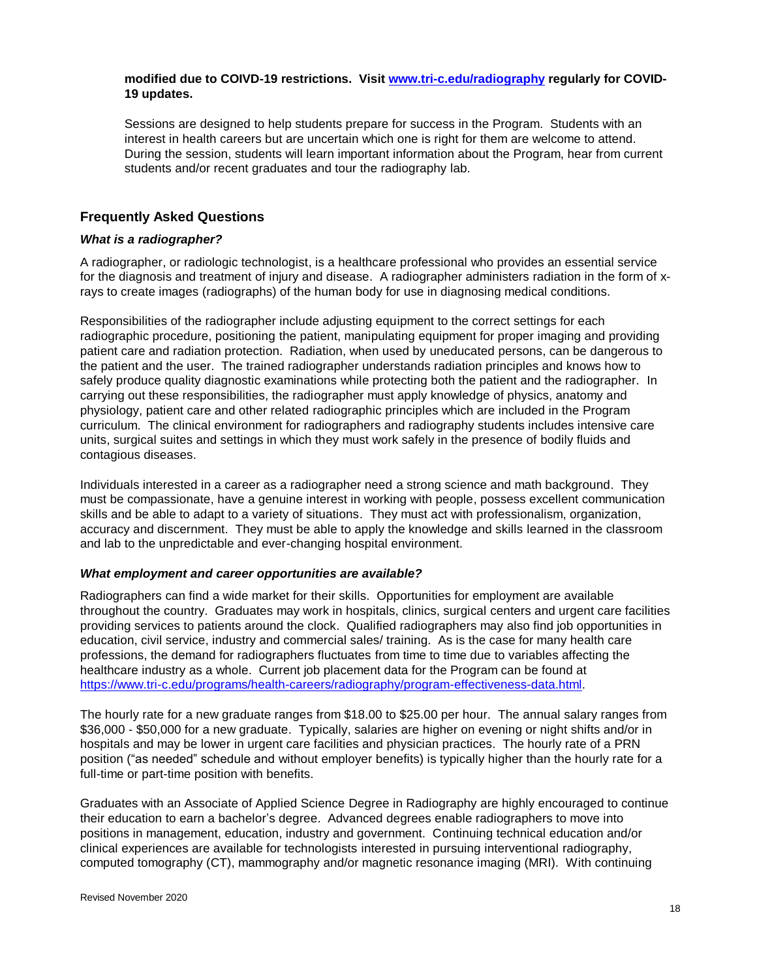#### **modified due to COIVD-19 restrictions. Visit [www.tri-c.edu/radiography](http://www.tri-c.edu/radiography) regularly for COVID-19 updates.**

Sessions are designed to help students prepare for success in the Program. Students with an interest in health careers but are uncertain which one is right for them are welcome to attend. During the session, students will learn important information about the Program, hear from current students and/or recent graduates and tour the radiography lab.

## **Frequently Asked Questions**

#### *What is a radiographer?*

A radiographer, or radiologic technologist, is a healthcare professional who provides an essential service for the diagnosis and treatment of injury and disease. A radiographer administers radiation in the form of xrays to create images (radiographs) of the human body for use in diagnosing medical conditions.

Responsibilities of the radiographer include adjusting equipment to the correct settings for each radiographic procedure, positioning the patient, manipulating equipment for proper imaging and providing patient care and radiation protection. Radiation, when used by uneducated persons, can be dangerous to the patient and the user. The trained radiographer understands radiation principles and knows how to safely produce quality diagnostic examinations while protecting both the patient and the radiographer. In carrying out these responsibilities, the radiographer must apply knowledge of physics, anatomy and physiology, patient care and other related radiographic principles which are included in the Program curriculum. The clinical environment for radiographers and radiography students includes intensive care units, surgical suites and settings in which they must work safely in the presence of bodily fluids and contagious diseases.

Individuals interested in a career as a radiographer need a strong science and math background. They must be compassionate, have a genuine interest in working with people, possess excellent communication skills and be able to adapt to a variety of situations. They must act with professionalism, organization, accuracy and discernment. They must be able to apply the knowledge and skills learned in the classroom and lab to the unpredictable and ever-changing hospital environment.

#### *What employment and career opportunities are available?*

Radiographers can find a wide market for their skills. Opportunities for employment are available throughout the country. Graduates may work in hospitals, clinics, surgical centers and urgent care facilities providing services to patients around the clock. Qualified radiographers may also find job opportunities in education, civil service, industry and commercial sales/ training. As is the case for many health care professions, the demand for radiographers fluctuates from time to time due to variables affecting the healthcare industry as a whole. Current job placement data for the Program can be found at [https://www.tri-c.edu/programs/health-careers/radiography/program-effectiveness-data.html.](https://www.tri-c.edu/programs/health-careers/radiography/program-effectiveness-data.html)

The hourly rate for a new graduate ranges from \$18.00 to \$25.00 per hour. The annual salary ranges from \$36,000 - \$50,000 for a new graduate. Typically, salaries are higher on evening or night shifts and/or in hospitals and may be lower in urgent care facilities and physician practices. The hourly rate of a PRN position ("as needed" schedule and without employer benefits) is typically higher than the hourly rate for a full-time or part-time position with benefits.

Graduates with an Associate of Applied Science Degree in Radiography are highly encouraged to continue their education to earn a bachelor's degree. Advanced degrees enable radiographers to move into positions in management, education, industry and government. Continuing technical education and/or clinical experiences are available for technologists interested in pursuing interventional radiography, computed tomography (CT), mammography and/or magnetic resonance imaging (MRI). With continuing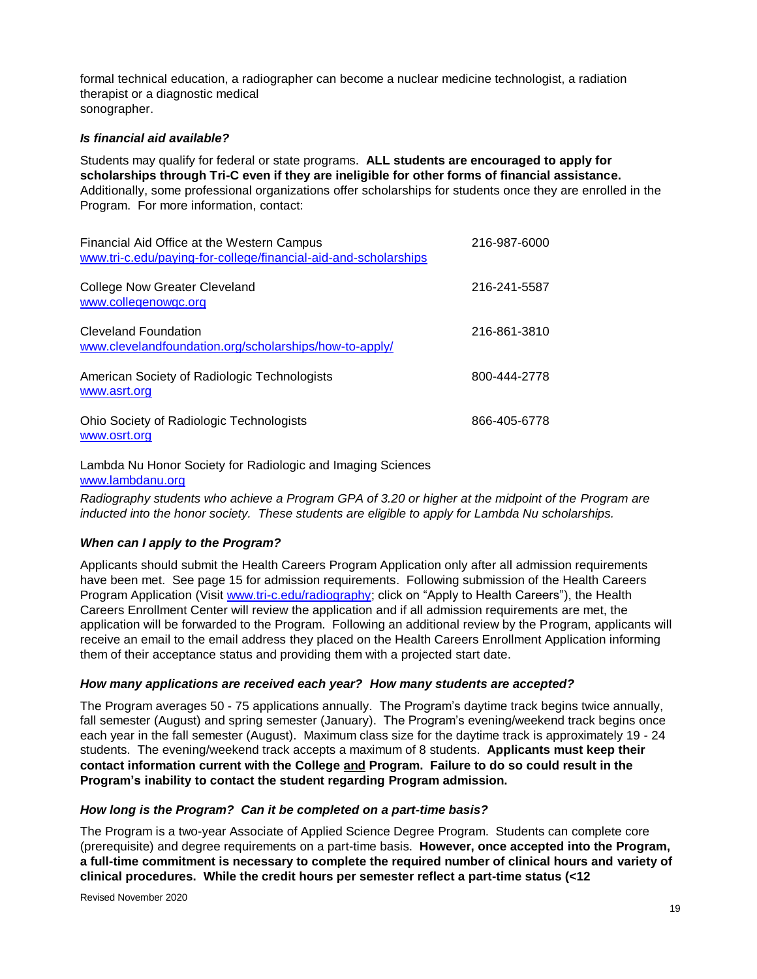formal technical education, a radiographer can become a nuclear medicine technologist, a radiation therapist or a diagnostic medical sonographer.

#### *Is financial aid available?*

Students may qualify for federal or state programs. **ALL students are encouraged to apply for scholarships through Tri-C even if they are ineligible for other forms of financial assistance.** Additionally, some professional organizations offer scholarships for students once they are enrolled in the Program. For more information, contact:

| Financial Aid Office at the Western Campus<br>www.tri-c.edu/paying-for-college/financial-aid-and-scholarships | 216-987-6000 |
|---------------------------------------------------------------------------------------------------------------|--------------|
| <b>College Now Greater Cleveland</b><br>www.collegenowgc.org                                                  | 216-241-5587 |
| Cleveland Foundation<br>www.clevelandfoundation.org/scholarships/how-to-apply/                                | 216-861-3810 |
| American Society of Radiologic Technologists<br>www.asrt.org                                                  | 800-444-2778 |
| Ohio Society of Radiologic Technologists<br>www.osrt.org                                                      | 866-405-6778 |

Lambda Nu Honor Society for Radiologic and Imaging Sciences [www.lambdanu.org](http://www.lambdanu.org/)

*Radiography students who achieve a Program GPA of 3.20 or higher at the midpoint of the Program are inducted into the honor society. These students are eligible to apply for Lambda Nu scholarships.*

## *When can I apply to the Program?*

Applicants should submit the Health Careers Program Application only after all admission requirements have been met. See page 15 for admission requirements. Following submission of the Health Careers Program Application (Visit [www.tri-c.edu/radiography;](http://www.tri-c.edu/radiography) click on "Apply to Health Careers"), the Health Careers Enrollment Center will review the application and if all admission requirements are met, the application will be forwarded to the Program. Following an additional review by the Program, applicants will receive an email to the email address they placed on the Health Careers Enrollment Application informing them of their acceptance status and providing them with a projected start date.

#### *How many applications are received each year? How many students are accepted?*

The Program averages 50 - 75 applications annually. The Program's daytime track begins twice annually, fall semester (August) and spring semester (January). The Program's evening/weekend track begins once each year in the fall semester (August). Maximum class size for the daytime track is approximately 19 - 24 students. The evening/weekend track accepts a maximum of 8 students. **Applicants must keep their contact information current with the College and Program. Failure to do so could result in the Program's inability to contact the student regarding Program admission.**

#### *How long is the Program? Can it be completed on a part-time basis?*

The Program is a two-year Associate of Applied Science Degree Program. Students can complete core (prerequisite) and degree requirements on a part-time basis. **However, once accepted into the Program, a full-time commitment is necessary to complete the required number of clinical hours and variety of clinical procedures. While the credit hours per semester reflect a part-time status (<12**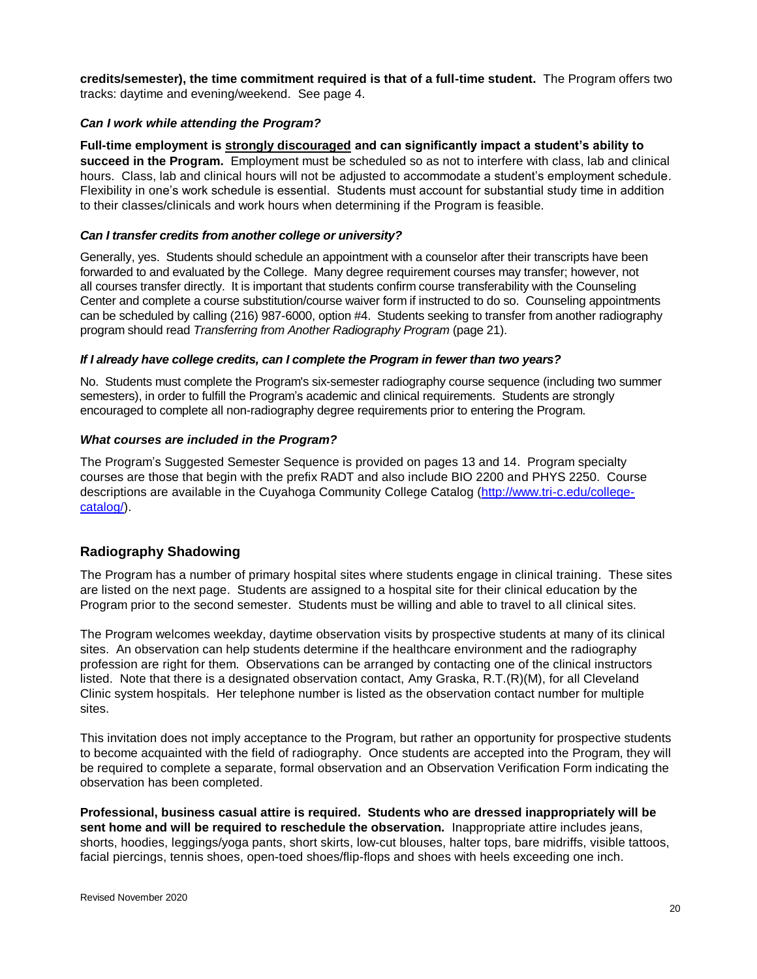**credits/semester), the time commitment required is that of a full-time student.** The Program offers two tracks: daytime and evening/weekend. See page 4.

#### *Can I work while attending the Program?*

**Full-time employment is strongly discouraged and can significantly impact a student's ability to succeed in the Program.** Employment must be scheduled so as not to interfere with class, lab and clinical hours. Class, lab and clinical hours will not be adjusted to accommodate a student's employment schedule. Flexibility in one's work schedule is essential. Students must account for substantial study time in addition to their classes/clinicals and work hours when determining if the Program is feasible.

#### *Can I transfer credits from another college or university?*

Generally, yes. Students should schedule an appointment with a counselor after their transcripts have been forwarded to and evaluated by the College. Many degree requirement courses may transfer; however, not all courses transfer directly. It is important that students confirm course transferability with the Counseling Center and complete a course substitution/course waiver form if instructed to do so. Counseling appointments can be scheduled by calling (216) 987-6000, option #4. Students seeking to transfer from another radiography program should read *Transferring from Another Radiography Program* (page 21).

#### *If I already have college credits, can I complete the Program in fewer than two years?*

No. Students must complete the Program's six-semester radiography course sequence (including two summer semesters), in order to fulfill the Program's academic and clinical requirements. Students are strongly encouraged to complete all non-radiography degree requirements prior to entering the Program.

#### *What courses are included in the Program?*

The Program's Suggested Semester Sequence is provided on pages 13 and 14. Program specialty courses are those that begin with the prefix RADT and also include BIO 2200 and PHYS 2250. Course descriptions are available in the Cuyahoga Community College Catalog [\(http://www.tri-c.edu/college](http://www.tri-c.edu/college-catalog/)[catalog/\)](http://www.tri-c.edu/college-catalog/).

## **Radiography Shadowing**

The Program has a number of primary hospital sites where students engage in clinical training. These sites are listed on the next page. Students are assigned to a hospital site for their clinical education by the Program prior to the second semester. Students must be willing and able to travel to all clinical sites.

The Program welcomes weekday, daytime observation visits by prospective students at many of its clinical sites. An observation can help students determine if the healthcare environment and the radiography profession are right for them. Observations can be arranged by contacting one of the clinical instructors listed. Note that there is a designated observation contact, Amy Graska, R.T.(R)(M), for all Cleveland Clinic system hospitals. Her telephone number is listed as the observation contact number for multiple sites.

This invitation does not imply acceptance to the Program, but rather an opportunity for prospective students to become acquainted with the field of radiography. Once students are accepted into the Program, they will be required to complete a separate, formal observation and an Observation Verification Form indicating the observation has been completed.

**Professional, business casual attire is required. Students who are dressed inappropriately will be sent home and will be required to reschedule the observation.** Inappropriate attire includes jeans, shorts, hoodies, leggings/yoga pants, short skirts, low-cut blouses, halter tops, bare midriffs, visible tattoos, facial piercings, tennis shoes, open-toed shoes/flip-flops and shoes with heels exceeding one inch.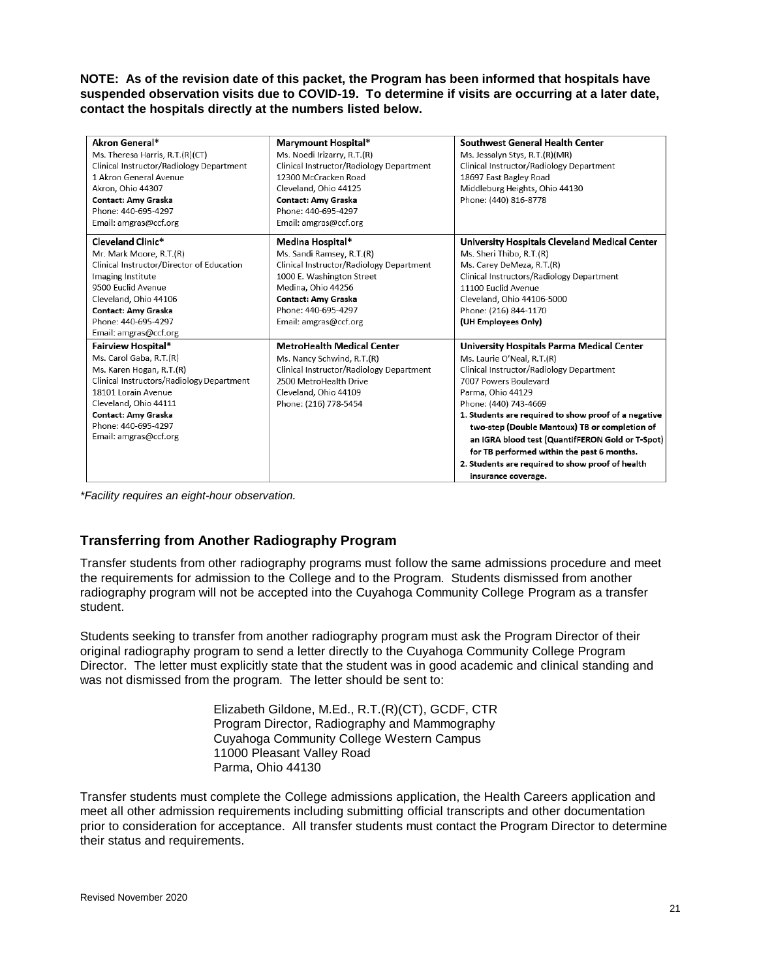**NOTE: As of the revision date of this packet, the Program has been informed that hospitals have suspended observation visits due to COVID-19. To determine if visits are occurring at a later date, contact the hospitals directly at the numbers listed below.**

| Akron General*                            | Marymount Hospital*                      | Southwest General Health Center                      |
|-------------------------------------------|------------------------------------------|------------------------------------------------------|
| Ms. Theresa Harris, R.T.(R)(CT)           | Ms. Noedi Irizarry, R.T.(R)              | Ms. Jessalyn Stys, R.T.(R)(MR)                       |
| Clinical Instructor/Radiology Department  | Clinical Instructor/Radiology Department | Clinical Instructor/Radiology Department             |
| 1 Akron General Avenue                    | 12300 McCracken Road                     | 18697 East Bagley Road                               |
| Akron, Ohio 44307                         | Cleveland, Ohio 44125                    | Middleburg Heights, Ohio 44130                       |
| Contact: Amy Graska                       | Contact: Amy Graska                      | Phone: (440) 816-8778                                |
| Phone: 440-695-4297                       | Phone: 440-695-4297                      |                                                      |
| Email: amgras@ccf.org                     | Email: amgras@ccf.org                    |                                                      |
| Cleveland Clinic*                         | Medina Hospital*                         | University Hospitals Cleveland Medical Center        |
| Mr. Mark Moore, R.T.(R)                   | Ms. Sandi Ramsey, R.T.(R)                | Ms. Sheri Thibo, R.T.(R)                             |
| Clinical Instructor/Director of Education | Clinical Instructor/Radiology Department | Ms. Carey DeMeza, R.T.(R)                            |
| Imaging Institute                         | 1000 E. Washington Street                | Clinical Instructors/Radiology Department            |
| 9500 Euclid Avenue                        | Medina, Ohio 44256                       | 11100 Fuclid Avenue                                  |
| Cleveland, Ohio 44106                     | Contact: Amy Graska                      | Cleveland, Ohio 44106-5000                           |
| Contact: Amy Graska                       | Phone: 440-695-4297                      | Phone: (216) 844-1170                                |
| Phone: 440-695-4297                       | Email: amgras@ccf.org                    | (UH Employees Only)                                  |
| Email: amgras@ccf.org                     |                                          |                                                      |
| Fairview Hospital*                        | <b>MetroHealth Medical Center</b>        | University Hospitals Parma Medical Center            |
| Ms. Carol Gaba, R.T.(R)                   | Ms. Nancy Schwind, R.T.(R)               | Ms. Laurie O'Neal, R.T.(R)                           |
| Ms. Karen Hogan, R.T.(R)                  | Clinical Instructor/Radiology Department | Clinical Instructor/Radiology Department             |
| Clinical Instructors/Radiology Department | 2500 MetroHealth Drive                   | 7007 Powers Boulevard                                |
| 18101 Lorain Avenue                       | Cleveland, Ohio 44109                    | Parma, Ohio 44129                                    |
| Cleveland, Ohio 44111                     | Phone: (216) 778-5454                    | Phone: (440) 743-4669                                |
| Contact: Amy Graska                       |                                          | 1. Students are required to show proof of a negative |
| Phone: 440-695-4297                       |                                          | two-step (Double Mantoux) TB or completion of        |
| Email: amgras@ccf.org                     |                                          | an IGRA blood test (QuantifFERON Gold or T-Spot)     |
|                                           |                                          | for TB performed within the past 6 months.           |
|                                           |                                          | 2. Students are required to show proof of health     |
|                                           |                                          | insurance coverage.                                  |

*\*Facility requires an eight-hour observation.*

# **Transferring from Another Radiography Program**

Transfer students from other radiography programs must follow the same admissions procedure and meet the requirements for admission to the College and to the Program. Students dismissed from another radiography program will not be accepted into the Cuyahoga Community College Program as a transfer student.

Students seeking to transfer from another radiography program must ask the Program Director of their original radiography program to send a letter directly to the Cuyahoga Community College Program Director. The letter must explicitly state that the student was in good academic and clinical standing and was not dismissed from the program. The letter should be sent to:

> Elizabeth Gildone, M.Ed., R.T.(R)(CT), GCDF, CTR Program Director, Radiography and Mammography Cuyahoga Community College Western Campus 11000 Pleasant Valley Road Parma, Ohio 44130

Transfer students must complete the College admissions application, the Health Careers application and meet all other admission requirements including submitting official transcripts and other documentation prior to consideration for acceptance. All transfer students must contact the Program Director to determine their status and requirements.